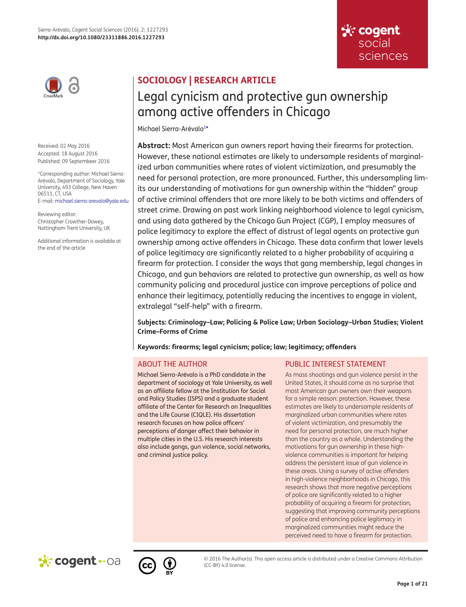



Received: 02 May 2016 Accepted: 18 August 2016 Published: 09 Septembeer 2016

<span id="page-0-0"></span>\*Corresponding author: Michael Sierra-Arévalo, Department of Sociology, Yale University, 493 College, New Haven 06511, CT, USA E-mail: [michael.sierra-arevalo@yale.edu](mailto:michael.sierra-arevalo@yale.edu)

Reviewing editor: Christopher Crowther-Dowey, Nottingham Trent University, UK

Additional information is available at the end of the article

# **SOCIOLOGY | RESEARCH ARTICLE** Legal cynicism and protective gun ownership among active offenders in Chicago

<span id="page-0-1"></span>Michael Sierra-Arévalo<sup>1</sup>[\\*](#page-0-0)

**Abstract:** Most American gun owners report having their firearms for protection. However, these national estimates are likely to undersample residents of marginalized urban communities where rates of violent victimization, and presumably the need for personal protection, are more pronounced. Further, this undersampling limits our understanding of motivations for gun ownership within the "hidden" group of active criminal offenders that are more likely to be both victims and offenders of street crime. Drawing on past work linking neighborhood violence to legal cynicism, and using data gathered by the Chicago Gun Project (CGP), I employ measures of police legitimacy to explore the effect of distrust of legal agents on protective gun ownership among active offenders in Chicago. These data confirm that lower levels of police legitimacy are significantly related to a higher probability of acquiring a firearm for protection. I consider the ways that gang membership, legal changes in Chicago, and gun behaviors are related to protective gun ownership, as well as how community policing and procedural justice can improve perceptions of police and enhance their legitimacy, potentially reducing the incentives to engage in violent, extralegal "self-help" with a firearm.

**Subjects: Criminology–Law; Policing & Police Law; Urban Sociology–Urban Studies; Violent Crime–Forms of Crime**

**Keywords: firearms; legal cynicism; police; law; legitimacy; offenders**

# ABOUT THE AUTHOR

Michael Sierra-Arévalo is a PhD candidate in the department of sociology at Yale University, as well as an affiliate fellow at the Institution for Social and Policy Studies (ISPS) and a graduate student affiliate of the Center for Research on Inequalities and the Life Course (CIQLE). His dissertation research focuses on how police officers' perceptions of danger affect their behavior in multiple cities in the U.S. His research interests also include gangs, gun violence, social networks, and criminal justice policy.

# PUBLIC INTEREST STATEMENT

As mass shootings and gun violence persist in the United States, it should come as no surprise that most American gun owners own their weapons for a simple reason: protection. However, these estimates are likely to undersample residents of marginalized urban communities where rates of violent victimization, and presumably the need for personal protection, are much higher than the country as a whole. Understanding the motivations for gun ownership in these highviolence communities is important for helping address the persistent issue of gun violence in these areas. Using a survey of active offenders in high-violence neighborhoods in Chicago, this research shows that more negative perceptions of police are significantly related to a higher probability of acquiring a firearm for protection, suggesting that improving community perceptions of police and enhancing police legitimacy in marginalized communities might reduce the perceived need to have a firearm for protection.





© 2016 The Author(s). This open access article is distributed under a Creative Commons Attribution (CC-BY) 4.0 license.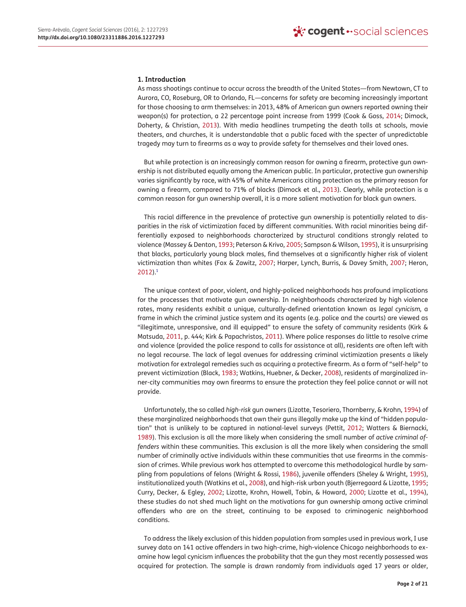#### **1. Introduction**

<span id="page-1-4"></span><span id="page-1-2"></span>As mass shootings continue to occur across the breadth of the United States—from Newtown, CT to Aurora, CO, Roseburg, OR to Orlando, FL—concerns for safety are becoming increasingly important for those choosing to arm themselves: in 2013, 48% of American gun owners reported owning their weapon(s) for protection, a 22 percentage point increase from 1999 (Cook & Goss, [2014](#page-18-0); Dimock, Doherty, & Christian, [2013](#page-18-1)). With media headlines trumpeting the death tolls at schools, movie theaters, and churches, it is understandable that a public faced with the specter of unpredictable tragedy may turn to firearms as a way to provide safety for themselves and their loved ones.

But while protection is an increasingly common reason for owning a firearm, protective gun ownership is not distributed equally among the American public. In particular, protective gun ownership varies significantly by race, with 45% of white Americans citing protection as the primary reason for owning a firearm, compared to 71% of blacks (Dimock et al., [2013](#page-18-1)). Clearly, while protection is a common reason for gun ownership overall, it is a more salient motivation for black gun owners.

<span id="page-1-15"></span><span id="page-1-13"></span><span id="page-1-12"></span>This racial difference in the prevalence of protective gun ownership is potentially related to disparities in the risk of victimization faced by different communities. With racial minorities being differentially exposed to neighborhoods characterized by structural conditions strongly related to violence (Massey & Denton, [1993;](#page-18-2) Peterson & Krivo, [2005;](#page-19-0) Sampson & Wilson, [1995](#page-19-1)), it is unsurprising that blacks, particularly young black males, find themselves at a significantly higher risk of violent victimization than whites (Fox & Zawitz, [2007;](#page-18-3) Harper, Lynch, Burris, & Davey Smith, [2007;](#page-18-4) Heron, [2012](#page-18-5))[.1](#page-17-1)

<span id="page-1-9"></span><span id="page-1-8"></span><span id="page-1-7"></span><span id="page-1-6"></span><span id="page-1-5"></span>The unique context of poor, violent, and highly-policed neighborhoods has profound implications for the processes that motivate gun ownership. In neighborhoods characterized by high violence rates, many residents exhibit a unique, culturally-defined orientation known as *legal cynicism,* a frame in which the criminal justice system and its agents (e.g. police and the courts) are viewed as "illegitimate, unresponsive, and ill equipped" to ensure the safety of community residents (Kirk & Matsuda, [2011,](#page-18-6) p. 444; Kirk & Papachristos, [2011](#page-18-7)). Where police responses do little to resolve crime and violence (provided the police respond to calls for assistance at all), residents are often left with no legal recourse. The lack of legal avenues for addressing criminal victimization presents a likely motivation for extralegal remedies such as acquiring a protective firearm. As a form of "self-help" to prevent victimization (Black, [1983](#page-17-2); Watkins, Huebner, & Decker, [2008](#page-19-2)), residents of marginalized inner-city communities may own firearms to ensure the protection they feel police cannot or will not provide.

<span id="page-1-19"></span><span id="page-1-18"></span><span id="page-1-17"></span><span id="page-1-16"></span><span id="page-1-14"></span><span id="page-1-10"></span><span id="page-1-1"></span>Unfortunately, the so called *high*-*risk* gun owners (Lizotte, Tesoriero, Thornberry, & Krohn, [1994\)](#page-18-8) of these marginalized neighborhoods that own their guns illegally make up the kind of "hidden population" that is unlikely to be captured in national-level surveys (Pettit, [2012;](#page-19-3) Watters & Biernacki, [1989](#page-19-4)). This exclusion is all the more likely when considering the small number of *active criminal offenders* within these communities. This exclusion is all the more likely when considering the small number of criminally active individuals within these communities that use firearms in the commission of crimes. While previous work has attempted to overcome this methodological hurdle by sampling from populations of felons (Wright & Rossi, [1986](#page-20-0)), juvenile offenders (Sheley & Wright, [1995](#page-19-5)), institutionalized youth (Watkins et al., [2008\)](#page-19-2), and high-risk urban youth (Bjerregaard & Lizotte, [1995;](#page-17-3) Curry, Decker, & Egley, [2002;](#page-18-9) Lizotte, Krohn, Howell, Tobin, & Howard, [2000](#page-18-10); Lizotte et al., [1994](#page-18-8)), these studies do not shed much light on the motivations for gun ownership among active criminal offenders who are on the street, continuing to be exposed to criminogenic neighborhood conditions.

<span id="page-1-11"></span><span id="page-1-3"></span><span id="page-1-0"></span>To address the likely exclusion of this hidden population from samples used in previous work, I use survey data on 141 active offenders in two high-crime, high-violence Chicago neighborhoods to examine how legal cynicism influences the probability that the gun they most recently possessed was acquired for protection. The sample is drawn randomly from individuals aged 17 years or older,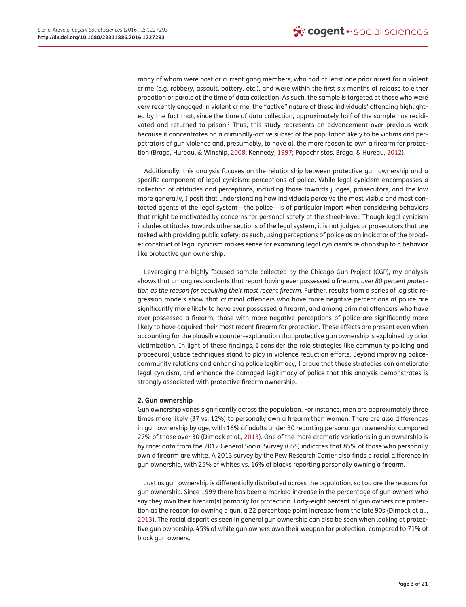many of whom were past or current gang members, who had at least one prior arrest for a violent crime (e.g. robbery, assault, battery, etc.), and were within the first six months of release to either probation or parole at the time of data collection. As such, the sample is targeted at those who were very recently engaged in violent crime, the "active" nature of these individuals' offending highlighted by the fact that, since the time of data collection, approximately half of the sample has recidi-vated and returned to prison.<sup>[2](#page-17-4)</sup> Thus, this study represents an advancement over previous work because it concentrates on a criminally-active subset of the population likely to be victims and perpetrators of gun violence and, presumably, to have all the more reason to own a firearm for protection (Braga, Hureau, & Winship, [2008](#page-17-5); Kennedy, [1997](#page-18-11); Papachristos, Braga, & Hureau, [2012\)](#page-19-6).

<span id="page-2-2"></span><span id="page-2-1"></span><span id="page-2-0"></span>Additionally, this analysis focuses on the relationship between protective gun ownership and a specific component of legal cynicism: perceptions of police. While legal cynicism encompasses a collection of attitudes and perceptions, including those towards judges, prosecutors, and the law more generally, I posit that understanding how individuals perceive the most visible and most contacted agents of the legal system—the police—is of particular import when considering behaviors that might be motivated by concerns for personal safety at the street-level. Though legal cynicism includes attitudes towards other sections of the legal system, it is not judges or prosecutors that are tasked with providing public safety; as such, using perceptions of police as an indicator of the broader construct of legal cynicism makes sense for examining legal cynicism's relationship to a behavior like protective gun ownership.

Leveraging the highly focused sample collected by the Chicago Gun Project (CGP), my analysis shows that among respondents that report having ever possessed a firearm, *over 80 percent protection as the reason for acquiring their most recent firearm*. Further, results from a series of logistic regression models show that criminal offenders who have more negative perceptions of police are significantly more likely to have ever possessed a firearm, and among criminal offenders who have ever possessed a firearm, those with more negative perceptions of police are significantly more likely to have acquired their most recent firearm for protection. These effects are present even when accounting for the plausible counter-explanation that protective gun ownership is explained by prior victimization. In light of these findings, I consider the role strategies like community policing and procedural justice techniques stand to play in violence reduction efforts. Beyond improving policecommunity relations and enhancing police legitimacy, I argue that these strategies can ameliorate legal cynicism, and enhance the damaged legitimacy of police that this analysis demonstrates is strongly associated with protective firearm ownership.

## **2. Gun ownership**

Gun ownership varies significantly across the population. For instance, men are approximately three times more likely (37 vs. 12%) to personally own a firearm than women. There are also differences in gun ownership by age, with 16% of adults under 30 reporting personal gun ownership, compared 27% of those over 30 (Dimock et al., [2013\)](#page-18-1). One of the more dramatic variations in gun ownership is by race: data from the 2012 General Social Survey (GSS) indicates that 85% of those who personally own a firearm are white. A 2013 survey by the Pew Research Center also finds a racial difference in gun ownership, with 25% of whites vs. 16% of blacks reporting personally owning a firearm.

Just as gun ownership is differentially distributed across the population, so too are the reasons for gun ownership. Since 1999 there has been a marked increase in the percentage of gun owners who say they own their firearm(s) primarily for protection. Forty-eight percent of gun owners cite protection as the reason for owning a gun, a 22 percentage point increase from the late 90s (Dimock et al., [2013](#page-18-1)). The racial disparities seen in general gun ownership can also be seen when looking at protective gun ownership: 45% of white gun owners own their weapon for protection, compared to 71% of black gun owners.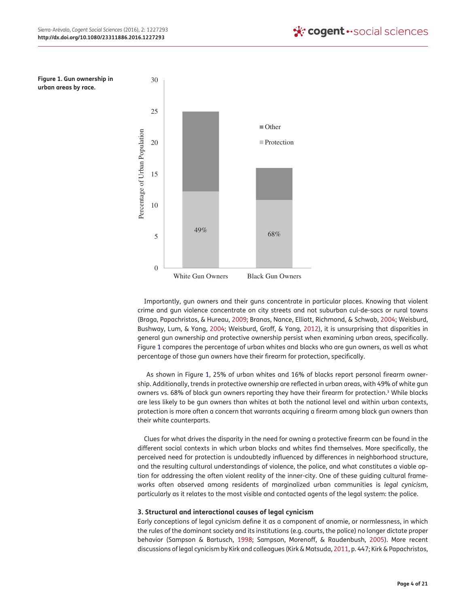<span id="page-3-0"></span>**Figure 1. Gun ownership in urban areas by race.**



<span id="page-3-6"></span><span id="page-3-5"></span><span id="page-3-2"></span><span id="page-3-1"></span>Importantly, gun owners and their guns concentrate in particular places. Knowing that violent crime and gun violence concentrate on city streets and not suburban cul-de-sacs or rural towns (Braga, Papachristos, & Hureau, [2009;](#page-17-6) Branas, Nance, Elliott, Richmond, & Schwab, [2004](#page-17-7); Weisburd, Bushway, Lum, & Yang, [2004;](#page-19-7) Weisburd, Groff, & Yang, [2012\)](#page-19-8), it is unsurprising that disparities in general gun ownership and protective ownership persist when examining urban areas, specifically. Figure [1](#page-3-0) compares the percentage of urban whites and blacks who are gun owners, as well as what percentage of those gun owners have their firearm for protection, specifically.

 As shown in Figure [1,](#page-3-0) 25% of urban whites and 16% of blacks report personal firearm ownership. Additionally, trends in protective ownership are reflected in urban areas, with 49% of white gun owners vs. 68% of black gun owners reporting they have their firearm for protection.<sup>3</sup> While blacks are less likely to be gun owners than whites at both the national level and within urban contexts, protection is more often a concern that warrants acquiring a firearm among black gun owners than their white counterparts.

Clues for what drives the disparity in the need for owning a protective firearm can be found in the different social contexts in which urban blacks and whites find themselves. More specifically, the perceived need for protection is undoubtedly influenced by differences in neighborhood structure, and the resulting cultural understandings of violence, the police, and what constitutes a viable option for addressing the often violent reality of the inner-city. One of these guiding cultural frameworks often observed among residents of marginalized urban communities is *legal cynicism*, particularly as it relates to the most visible and contacted agents of the legal system: the police.

## **3. Structural and interactional causes of legal cynicism**

<span id="page-3-4"></span><span id="page-3-3"></span>Early conceptions of legal cynicism define it as a component of anomie, or normlessness, in which the rules of the dominant society and its institutions (e.g. courts, the police) no longer dictate proper behavior (Sampson & Bartusch, [1998;](#page-19-9) Sampson, Morenoff, & Raudenbush, [2005\)](#page-19-10). More recent discussions of legal cynicism by Kirk and colleagues (Kirk & Matsuda, [2011,](#page-18-6) p. 447; Kirk & Papachristos,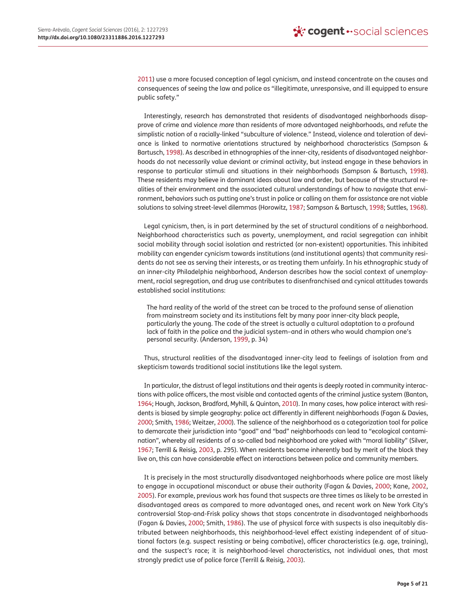[2011](#page-18-7)) use a more focused conception of legal cynicism, and instead concentrate on the causes and consequences of seeing the law and police as "illegitimate, unresponsive, and ill equipped to ensure public safety."

Interestingly, research has demonstrated that residents of disadvantaged neighborhoods disapprove of crime and violence *more* than residents of more advantaged neighborhoods, and refute the simplistic notion of a racially-linked "subculture of violence." Instead, violence and toleration of deviance is linked to normative orientations structured by neighborhood characteristics (Sampson & Bartusch, [1998](#page-19-9)). As described in ethnographies of the inner-city, residents of disadvantaged neighborhoods do not necessarily value deviant or criminal activity, but instead engage in these behaviors in response to particular stimuli and situations in their neighborhoods (Sampson & Bartusch, [1998](#page-19-9)). These residents may believe in dominant ideas about law and order, but because of the structural realities of their environment and the associated cultural understandings of how to navigate that environment, behaviors such as putting one's trust in police or calling on them for assistance are not viable solutions to solving street-level dilemmas (Horowitz, [1987;](#page-18-12) Sampson & Bartusch, [1998;](#page-19-9) Suttles, [1968\)](#page-19-11).

<span id="page-4-9"></span><span id="page-4-3"></span>Legal cynicism, then, is in part determined by the set of structural conditions of a neighborhood. Neighborhood characteristics such as poverty, unemployment, and racial segregation can inhibit social mobility through social isolation and restricted (or non-existent) opportunities. This inhibited mobility can engender cynicism towards institutions (and institutional agents) that community residents do not see as serving their interests, or as treating them unfairly. In his ethnographic study of an inner-city Philadelphia neighborhood, Anderson describes how the social context of unemployment, racial segregation, and drug use contributes to disenfranchised and cynical attitudes towards established social institutions:

The hard reality of the world of the street can be traced to the profound sense of alienation from mainstream society and its institutions felt by many poor inner-city black people, particularly the young. The code of the street is actually a cultural adaptation to a profound lack of faith in the police and the judicial system–and in others who would champion one's personal security. (Anderson, [1999,](#page-17-9) p. 34)

<span id="page-4-0"></span>Thus, structural realities of the disadvantaged inner-city lead to feelings of isolation from and skepticism towards traditional social institutions like the legal system.

<span id="page-4-11"></span><span id="page-4-8"></span><span id="page-4-4"></span><span id="page-4-2"></span><span id="page-4-1"></span>In particular, the distrust of legal institutions and their agents is deeply rooted in community interactions with police officers, the most visible and contacted agents of the criminal justice system (Banton, [1964;](#page-17-10) Hough, Jackson, Bradford, Myhill, & Quinton, [2010\)](#page-18-13). In many cases, how police interact with residents is biased by simple geography: police act differently in different neighborhoods (Fagan & Davies, [2000;](#page-18-14) Smith, [1986;](#page-19-12) Weitzer, [2000](#page-19-13)). The salience of the neighborhood as a categorization tool for police to demarcate their jurisdiction into "good" and "bad" neighborhoods can lead to "ecological contamination", whereby *all* residents of a so-called bad neighborhood are yoked with "moral liability" (Silver, [1967;](#page-19-14) Terrill & Reisig, [2003](#page-19-15), p. 295). When residents become inherently bad by merit of the block they live on, this can have considerable effect on interactions between police and community members.

<span id="page-4-10"></span><span id="page-4-7"></span><span id="page-4-6"></span><span id="page-4-5"></span>It is precisely in the most structurally disadvantaged neighborhoods where police are most likely to engage in occupational misconduct or abuse their authority (Fagan & Davies, [2000](#page-18-14); Kane, [2002,](#page-18-15) [2005](#page-18-16)). For example, previous work has found that suspects are three times as likely to be arrested in disadvantaged areas as compared to more advantaged ones, and recent work on New York City's controversial Stop-and-Frisk policy shows that stops concentrate in disadvantaged neighborhoods (Fagan & Davies, [2000;](#page-18-14) Smith, [1986\)](#page-19-12). The use of physical force with suspects is also inequitably distributed between neighborhoods, this neighborhood-level effect existing independent of of situational factors (e.g. suspect resisting or being combative), officer characteristics (e.g. age, training), and the suspect's race; it is neighborhood-level characteristics, not individual ones, that most strongly predict use of police force (Terrill & Reisig, [2003](#page-19-15)).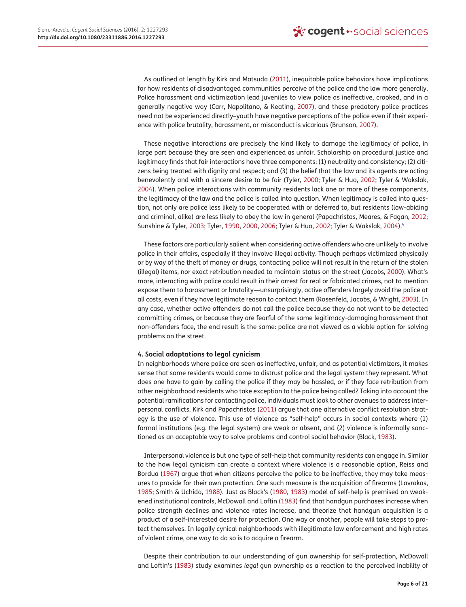<span id="page-5-2"></span>As outlined at length by Kirk and Matsuda ([2011\)](#page-18-6), inequitable police behaviors have implications for how residents of disadvantaged communities perceive of the police and the law more generally. Police harassment and victimization lead juveniles to view police as ineffective, crooked, and in a generally negative way (Carr, Napolitano, & Keating, [2007](#page-18-17)), and these predatory police practices need not be experienced directly–youth have negative perceptions of the police even if their experience with police brutality, harassment, or misconduct is vicarious (Brunson, [2007\)](#page-17-11).

<span id="page-5-15"></span><span id="page-5-14"></span><span id="page-5-12"></span><span id="page-5-1"></span>These negative interactions are precisely the kind likely to damage the legitimacy of police, in large part because they are seen and experienced as unfair. Scholarship on procedural justice and legitimacy finds that fair interactions have three components: (1) neutrality and consistency; (2) citizens being treated with dignity and respect; and (3) the belief that the law and its agents are acting benevolently and with a sincere desire to be fair (Tyler, [2000;](#page-19-16) Tyler & Huo, [2002;](#page-19-17) Tyler & Wakslak, [2004](#page-19-18)). When police interactions with community residents lack one or more of these components, the legitimacy of the law and the police is called into question. When legitimacy is called into question, not only are police less likely to be cooperated with or deferred to, but residents (law-abiding and criminal, alike) are less likely to obey the law in general (Papachristos, Meares, & Fagan, [2012;](#page-19-19) Sunshine & Tyler, [2003](#page-19-20); Tyler, [1990](#page-19-21), [2000,](#page-19-16) [2006](#page-19-22); Tyler & Huo, [2002](#page-19-17); Tyler & Wakslak, [2004\)](#page-19-18).[4](#page-17-12)

<span id="page-5-13"></span><span id="page-5-11"></span><span id="page-5-10"></span><span id="page-5-8"></span><span id="page-5-6"></span><span id="page-5-3"></span>These factors are particularly salient when considering active offenders who are unlikely to involve police in their affairs, especially if they involve illegal activity. Though perhaps victimized physically or by way of the theft of money or drugs, contacting police will not result in the return of the stolen (illegal) items, nor exact retribution needed to maintain status on the street (Jacobs, [2000\)](#page-18-18). What's more, interacting with police could result in their arrest for real or fabricated crimes, not to mention expose them to harassment or brutality—unsurprisingly, active offenders largely avoid the police at all costs, even if they have legitimate reason to contact them (Rosenfeld, Jacobs, & Wright, [2003\)](#page-19-23). In any case, whether active offenders do not call the police because they do not want to be detected committing crimes, or because they are fearful of the same legitimacy-damaging harassment that non-offenders face, the end result is the same: police are not viewed as a viable option for solving problems on the street.

## **4. Social adaptations to legal cynicism**

In neighborhoods where police are seen as ineffective, unfair, and as potential victimizers, it makes sense that some residents would come to distrust police and the legal system they represent. What does one have to gain by calling the police if they may be hassled, or if they face retribution from other neighborhood residents who take exception to the police being called? Taking into account the potential ramifications for contacting police, individuals must look to other avenues to address interpersonal conflicts. Kirk and Papachristos [\(2011\)](#page-18-7) argue that one alternative conflict resolution strategy is the use of violence. This use of violence as "self-help" occurs in social contexts where (1) formal institutions (e.g. the legal system) are weak or absent, and (2) violence is informally sanctioned as an acceptable way to solve problems and control social behavior (Black, [1983](#page-17-2)).

<span id="page-5-9"></span><span id="page-5-7"></span><span id="page-5-5"></span><span id="page-5-4"></span><span id="page-5-0"></span>Interpersonal violence is but one type of self-help that community residents can engage in. Similar to the how legal cynicism can create a context where violence is a reasonable option, Reiss and Bordua ([1967](#page-19-24)) argue that when citizens perceive the police to be ineffective, they may take measures to provide for their own protection. One such measure is the acquisition of firearms (Lavrakas, [1985](#page-18-19); Smith & Uchida, [1988\)](#page-19-25). Just as Black's ([1980](#page-17-13), [1983](#page-17-2)) model of self-help is premised on weakened institutional controls, McDowall and Loftin [\(1983\)](#page-18-20) find that handgun purchases increase when police strength declines and violence rates increase, and theorize that handgun acquisition is a product of a self-interested desire for protection. One way or another, people will take steps to protect themselves. In legally cynical neighborhoods with illegitimate law enforcement and high rates of violent crime, one way to do so is to acquire a firearm.

Despite their contribution to our understanding of gun ownership for self-protection, McDowall and Loftin's ([1983](#page-18-20)) study examines *legal* gun ownership as a reaction to the perceived inability of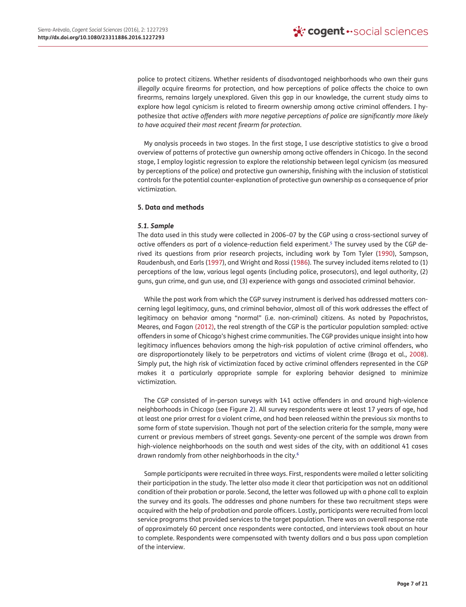police to protect citizens. Whether residents of disadvantaged neighborhoods who own their guns *illegally* acquire firearms for protection, and how perceptions of police affects the choice to own firearms, remains largely unexplored. Given this gap in our knowledge, the current study aims to explore how legal cynicism is related to firearm ownership among active criminal offenders. I hypothesize that *active offenders with more negative perceptions of police are significantly more likely to have acquired their most recent firearm for protection*.

My analysis proceeds in two stages. In the first stage, I use descriptive statistics to give a broad overview of patterns of protective gun ownership among active offenders in Chicago. In the second stage, I employ logistic regression to explore the relationship between legal cynicism (as measured by perceptions of the police) and protective gun ownership, finishing with the inclusion of statistical controls for the potential counter-explanation of protective gun ownership as a consequence of prior victimization.

## **5. Data and methods**

## *5.1. Sample*

<span id="page-6-0"></span>The data used in this study were collected in 2006–07 by the CGP using a cross-sectional survey of active offenders as part of a violence-reduction field experiment.[5](#page-17-14) The survey used by the CGP derived its questions from prior research projects, including work by Tom Tyler [\(1990\)](#page-19-21), Sampson, Raudenbush, and Earls ([1997\)](#page-19-26), and Wright and Rossi [\(1986\)](#page-20-0). The survey included items related to (1) perceptions of the law, various legal agents (including police, prosecutors), and legal authority, (2) guns, gun crime, and gun use, and (3) experience with gangs and associated criminal behavior.

While the past work from which the CGP survey instrument is derived has addressed matters concerning legal legitimacy, guns, and criminal behavior, almost all of this work addresses the effect of legitimacy on behavior among "normal" (i.e. non-criminal) citizens. As noted by Papachristos, Meares, and Fagan [\(2012\),](#page-19-19) the real strength of the CGP is the particular population sampled: active offenders in some of Chicago's highest crime communities. The CGP provides unique insight into how legitimacy influences behaviors among the high-risk population of active criminal offenders, who are disproportionately likely to be perpetrators and victims of violent crime (Braga et al., [2008\)](#page-17-5). Simply put, the high risk of victimization faced by active criminal offenders represented in the CGP makes it a particularly appropriate sample for exploring behavior designed to minimize victimization.

The CGP consisted of in-person surveys with 141 active offenders in and around high-violence neighborhoods in Chicago (see Figure [2](#page-7-0)). All survey respondents were at least 17 years of age, had at least one prior arrest for a violent crime, and had been released within the previous six months to some form of state supervision. Though not part of the selection criteria for the sample, many were current or previous members of street gangs. Seventy-one percent of the sample was drawn from high-violence neighborhoods on the south and west sides of the city, with an additional 41 cases drawn randomly from other neighborhoods in the city.[6](#page-17-15)

Sample participants were recruited in three ways. First, respondents were mailed a letter soliciting their participation in the study. The letter also made it clear that participation was not an additional condition of their probation or parole. Second, the letter was followed up with a phone call to explain the survey and its goals. The addresses and phone numbers for these two recruitment steps were acquired with the help of probation and parole officers. Lastly, participants were recruited from local service programs that provided services to the target population. There was an overall response rate of approximately 60 percent once respondents were contacted, and interviews took about an hour to complete. Respondents were compensated with twenty dollars and a bus pass upon completion of the interview.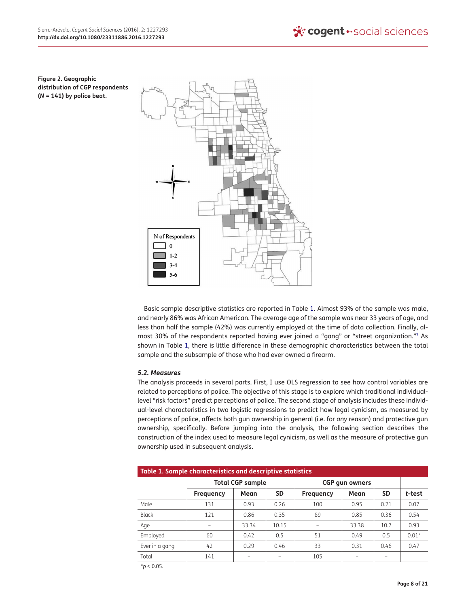<span id="page-7-0"></span>**Figure 2. Geographic distribution of CGP respondents (***N* **= 141) by police beat.**



Basic sample descriptive statistics are reported in Table [1](#page-7-1). Almost 93% of the sample was male, and nearly 86% was African American. The average age of the sample was near 33 years of age, and less than half the sample (42%) was currently employed at the time of data collection. Finally, almost 30% of the respondents reported having ever joined a "gang" or "street organization.["7](#page-17-16) As shown in Table [1](#page-7-1), there is little difference in these demographic characteristics between the total sample and the subsample of those who had ever owned a firearm.

# *5.2. Measures*

The analysis proceeds in several parts. First, I use OLS regression to see how control variables are related to perceptions of police. The objective of this stage is to explore which traditional individuallevel "risk factors" predict perceptions of police. The second stage of analysis includes these individual-level characteristics in two logistic regressions to predict how legal cynicism, as measured by perceptions of police, affects both gun ownership in general (i.e. for *any* reason) and protective gun ownership, specifically. Before jumping into the analysis, the following section describes the construction of the index used to measure legal cynicism, as well as the measure of protective gun ownership used in subsequent analysis.

<span id="page-7-1"></span>

|                | Table 1. Sample characteristics and descriptive statistics |                         |           |                       |       |           |         |
|----------------|------------------------------------------------------------|-------------------------|-----------|-----------------------|-------|-----------|---------|
|                |                                                            | <b>Total CGP sample</b> |           | <b>CGP gun owners</b> |       |           |         |
|                | <b>Frequency</b>                                           | Mean                    | <b>SD</b> | <b>Frequency</b>      | Mean  | <b>SD</b> | t-test  |
| Male           | 131                                                        | 0.93                    | 0.26      | 100                   | 0.95  | 0.21      | 0.07    |
| <b>Black</b>   | 121                                                        | 0.86                    | 0.35      | 89                    | 0.85  | 0.36      | 0.54    |
| Age            | $\overline{\phantom{a}}$                                   | 33.34                   | 10.15     | $\qquad \qquad -$     | 33.38 | 10.7      | 0.93    |
| Employed       | 60                                                         | 0.42                    | 0.5       | 51                    | 0.49  | 0.5       | $0.01*$ |
| Ever in a gang | 42                                                         | 0.29                    | 0.46      | 33                    | 0.31  | 0.46      | 0.47    |
| Total          | 141                                                        |                         |           | 105                   |       |           |         |

\**p* < 0.05*.*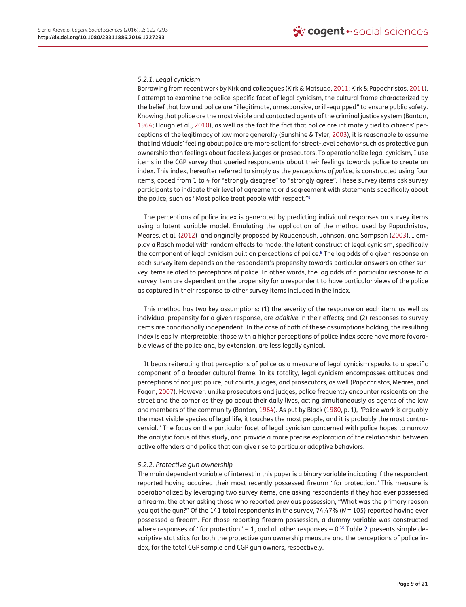#### *5.2.1. Legal cynicism*

Borrowing from recent work by Kirk and colleagues (Kirk & Matsuda, [2011;](#page-18-6) Kirk & Papachristos, [2011](#page-18-7)), I attempt to examine the police-specific facet of legal cynicism, the cultural frame characterized by the belief that law and police are "illegitimate, unresponsive, or ill-equipped" to ensure public safety. Knowing that police are the most visible and contacted agents of the criminal justice system (Banton, [1964](#page-17-10); Hough et al., [2010\)](#page-18-13), as well as the fact the fact that police are intimately tied to citizens' perceptions of the legitimacy of law more generally (Sunshine & Tyler, [2003\)](#page-19-20), it is reasonable to assume that individuals' feeling about police are more salient for street-level behavior such as protective gun ownership than feelings about faceless judges or prosecutors. To operationalize legal cynicism, I use items in the CGP survey that queried respondents about their feelings towards police to create an index. This index, hereafter referred to simply as the *perceptions of police*, is constructed using four items, coded from 1 to 4 for "strongly disagree" to "strongly agree". These survey items ask survey participants to indicate their level of agreement or disagreement with statements specifically about the police, such as "Most police treat people with respect.["8](#page-17-17)

<span id="page-8-0"></span>The perceptions of police index is generated by predicting individual responses on survey items using a latent variable model. Emulating the application of the method used by Papachristos, Meares, et al. ([2012](#page-19-19)) and originally proposed by Raudenbush, Johnson, and Sampson [\(2003\)](#page-19-27), I employ a Rasch model with random effects to model the latent construct of legal cynicism, specifically the component of legal cynicism built on perceptions of police.[9](#page-17-18) The log odds of a given response on each survey item depends on the respondent's propensity towards particular answers on other survey items related to perceptions of police. In other words, the log odds of a particular response to a survey item are dependent on the propensity for a respondent to have particular views of the police as captured in their response to other survey items included in the index.

This method has two key assumptions: (1) the severity of the response on each item, as well as individual propensity for a given response, are *additive* in their effects; and (2) responses to survey items are conditionally independent. In the case of both of these assumptions holding, the resulting index is easily interpretable: those with a higher perceptions of police index score have more favorable views of the police and, by extension, are less legally cynical.

It bears reiterating that perceptions of police as a measure of legal cynicism speaks to a specific component of a broader cultural frame. In its totality, legal cynicism encompasses attitudes and perceptions of not just police, but courts, judges, and prosecutors, as well (Papachristos, Meares, and Fagan, [2007](#page-19-19)). However, unlike prosecutors and judges, police frequently encounter residents on the street and the corner as they go about their daily lives, acting simultaneously as agents of the law and members of the community (Banton, [1964](#page-17-10)). As put by Black ([1980,](#page-17-13) p. 1), "Police work is arguably the most visible species of legal life, it touches the most people, and it is probably the most controversial." The focus on the particular facet of legal cynicism concerned with police hopes to narrow the analytic focus of this study, and provide a more precise exploration of the relationship between active offenders and police that can give rise to particular adaptive behaviors.

#### *5.2.2. Protective gun ownership*

The main dependent variable of interest in this paper is a binary variable indicating if the respondent reported having acquired their most recently possessed firearm "for protection." This measure is operationalized by leveraging two survey items, one asking respondents if they had ever possessed a firearm, the other asking those who reported previous possession, "What was the primary reason you got the gun?" Of the 141 total respondents in the survey, 74.47% (*N* = 105) reported having ever possessed a firearm. For those reporting firearm possession, a dummy variable was constructed where responses of "for protection" = 1, and all other responses =  $0<sup>10</sup>$  $0<sup>10</sup>$  $0<sup>10</sup>$  Table [2](#page-9-0) presents simple descriptive statistics for both the protective gun ownership measure and the perceptions of police index, for the total CGP sample and CGP gun owners, respectively.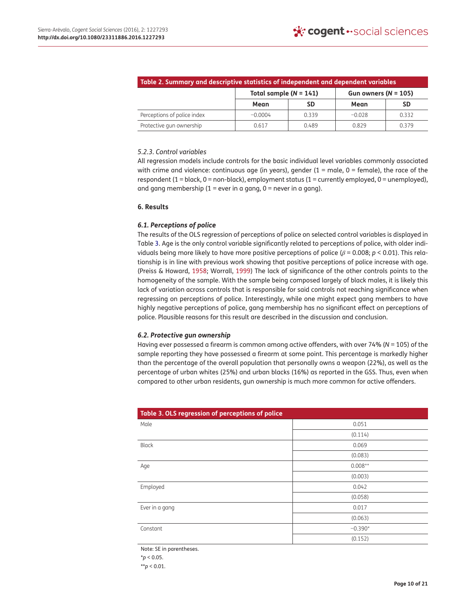<span id="page-9-0"></span>

|                             | Table 2. Summary and descriptive statistics of independent and dependent variables |           |                        |           |  |
|-----------------------------|------------------------------------------------------------------------------------|-----------|------------------------|-----------|--|
|                             | Total sample $(N = 141)$                                                           |           | Gun owners $(N = 105)$ |           |  |
|                             | Mean                                                                               | <b>SD</b> | Mean                   | <b>SD</b> |  |
| Perceptions of police index | $-0.0004$                                                                          | 0.339     | $-0.028$               | 0.332     |  |
| Protective gun ownership    | 0.617                                                                              | 0.489     | 0.829                  | 0.379     |  |

## *5.2.3. Control variables*

All regression models include controls for the basic individual level variables commonly associated with crime and violence: continuous age (in years), gender  $(1 = \text{male}, 0 = \text{female})$ , the race of the respondent (1 = black, 0 = non-black), employment status (1 = currently employed, 0 = unemployed), and gang membership ( $1$  = ever in a gang,  $0$  = never in a gang).

## **6. Results**

# *6.1. Perceptions of police*

<span id="page-9-3"></span><span id="page-9-2"></span>The results of the OLS regression of perceptions of police on selected control variables is displayed in Table [3.](#page-9-1) Age is the only control variable significantly related to perceptions of police, with older individuals being more likely to have more positive perceptions of police (*β* = 0.008; *p* < 0.01). This relationship is in line with previous work showing that positive perceptions of police increase with age. (Preiss & Howard, [1958](#page-19-28); Worrall, [1999\)](#page-20-1) The lack of significance of the other controls points to the homogeneity of the sample. With the sample being composed largely of black males, it is likely this lack of variation across controls that is responsible for said controls not reaching significance when regressing on perceptions of police. Interestingly, while one might expect gang members to have highly negative perceptions of police, gang membership has no significant effect on perceptions of police. Plausible reasons for this result are described in the discussion and conclusion.

## *6.2. Protective gun ownership*

Having ever possessed a firearm is common among active offenders, with over 74% (*N* = 105) of the sample reporting they have possessed a firearm at some point. This percentage is markedly higher than the percentage of the overall population that personally owns a weapon (22%), as well as the percentage of urban whites (25%) and urban blacks (16%) as reported in the GSS. Thus, even when compared to other urban residents, gun ownership is much more common for active offenders.

<span id="page-9-1"></span>

| Table 3. OLS regression of perceptions of police |           |
|--------------------------------------------------|-----------|
| Male                                             | 0.051     |
|                                                  | (0.114)   |
| <b>Black</b>                                     | 0.069     |
|                                                  | (0.083)   |
| Age                                              | $0.008**$ |
|                                                  | (0.003)   |
| Employed                                         | 0.042     |
|                                                  | (0.058)   |
| Ever in a gang                                   | 0.017     |
|                                                  | (0.063)   |
| Constant                                         | $-0.390*$ |
|                                                  | (0.152)   |

Note: SE in parentheses. \**p* < 0.05.

\*\**p* < 0.01.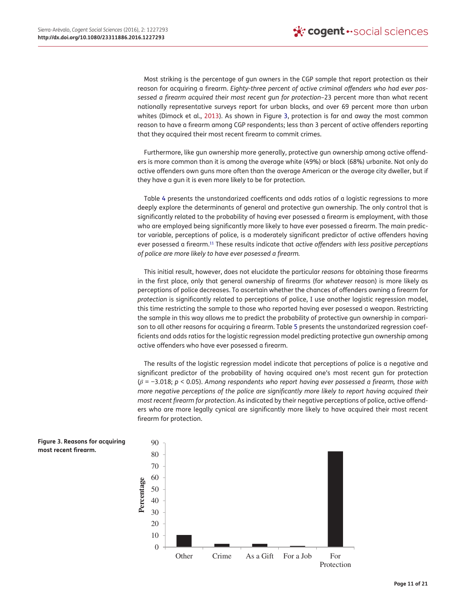Most striking is the percentage of gun owners in the CGP sample that report protection as their reason for acquiring a firearm. *Eighty*-*three percent of active criminal offenders who had ever possessed a firearm acquired their most recent gun for protection*–23 percent more than what recent nationally representative surveys report for urban blacks, and over 69 percent more than urban whites (Dimock et al., [2013\)](#page-18-1). As shown in Figure [3](#page-10-0), protection is far and away the most common reason to have a firearm among CGP respondents; less than 3 percent of active offenders reporting that they acquired their most recent firearm to commit crimes.

Furthermore, like gun ownership more generally, protective gun ownership among active offenders is more common than it is among the average white (49%) or black (68%) urbanite. Not only do active offenders own guns more often than the average American or the average city dweller, but if they have a gun it is even more likely to be for protection.

Table [4](#page-11-0) presents the unstandarized coefficents and odds ratios of a logistic regressions to more deeply explore the determinants of general and protective gun ownership. The only control that is significantly related to the probability of having ever posessed a firearm is employment, with those who are employed being significantly more likely to have ever posessed a firearm. The main predictor variable, perceptions of police, is a moderately significant predictor of active offenders having ever posessed a firearm[.11](#page-17-20) These results indicate that *active offenders with less positive perceptions of police are more likely to have ever posessed a firearm.*

This initial result, however, does not elucidate the particular *reasons* for obtaining those firearms in the first place, only that general ownership of firearms (for *whatever* reason) is more likely as perceptions of police decreases. To ascertain whether the chances of offenders owning a firearm for *protection* is significantly related to perceptions of police, I use another logistic regression model, this time restricting the sample to those who reported having ever posessed a weapon. Restricting the sample in this way allows me to predict the probability of protective gun ownership in comparison to all other reasons for acquiring a firearm. Table [5](#page-11-1) presents the unstandarized regression coefficients and odds ratios for the logistic regression model predicting protective gun ownership among active offenders who have ever posessed a firearm.

The results of the logistic regression model indicate that perceptions of police is a negative and significant predictor of the probability of having acquired one's most recent gun for protection (*β* = −3.018; *p* < 0.05). *Among respondents who report having ever possessed a firearm, those with more negative perceptions of the police are significantly more likely to report having acquired their most recent firearm for protection*. As indicated by their negative perceptions of police, active offenders who are more legally cynical are significantly more likely to have acquired their most recent firearm for protection.



## <span id="page-10-0"></span>**Figure 3. Reasons for acquiring most recent firearm.**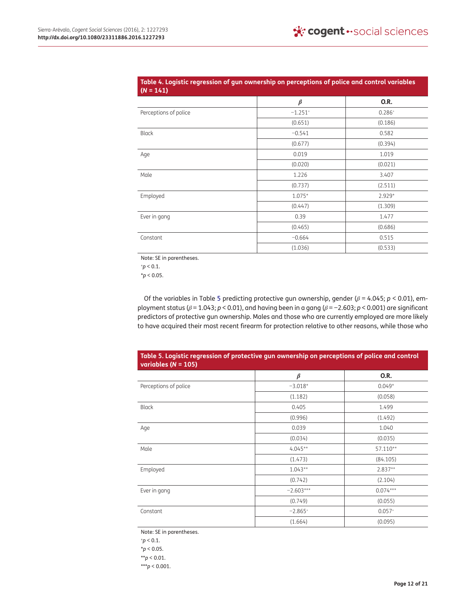<span id="page-11-0"></span>

| $(N = 141)$           | $\beta$               | <b>O.R.</b> |
|-----------------------|-----------------------|-------------|
| Perceptions of police | $-1.251$ <sup>+</sup> | $0.286+$    |
|                       | (0.651)               | (0.186)     |
| Black                 | $-0.541$              | 0.582       |
|                       | (0.677)               | (0.394)     |
| Age                   | 0.019                 | 1.019       |
|                       | (0.020)               | (0.021)     |
| Male                  | 1.226                 | 3.407       |
|                       | (0.737)               | (2.511)     |
| Employed              | $1.075*$              | $2.929*$    |
|                       | (0.447)               | (1.309)     |
| Ever in gang          | 0.39                  | 1.477       |
|                       | (0.465)               | (0.686)     |
| Constant              | $-0.664$              | 0.515       |
|                       | (1.036)               | (0.533)     |

Note: SE in parentheses.

+ *p* < 0.1.

\**p* < 0.05.

Of the variables in Table [5](#page-11-1) predicting protective gun ownership, gender (*β* = 4.045; *p* < 0.01), employment status (*β* = 1.043; *p* < 0.01), and having been in a gang (*β* = −2.603; *p* < 0.001) are significant predictors of protective gun ownership. Males and those who are currently employed are more likely to have acquired their most recent firearm for protection relative to other reasons, while those who

<span id="page-11-1"></span>

| variables ( $N = 105$ ) | Table 5. Logistic regression of protective gun ownership on perceptions of police and control |             |
|-------------------------|-----------------------------------------------------------------------------------------------|-------------|
|                         | $\beta$                                                                                       | <b>O.R.</b> |
| Perceptions of police   | $-3.018*$                                                                                     | $0.049*$    |
|                         | (1.182)                                                                                       | (0.058)     |
| <b>Black</b>            | 0.405                                                                                         | 1.499       |
|                         | (0.996)                                                                                       | (1.492)     |
| Age                     | 0.039                                                                                         | 1.040       |
|                         | (0.034)                                                                                       | (0.035)     |
| Male                    | $4.045**$                                                                                     | 57.110**    |
|                         | (1.473)                                                                                       | (84.105)    |
| Employed                | $1.043**$                                                                                     | $2.837**$   |
|                         | (0.742)                                                                                       | (2.104)     |
| Ever in gang            | $-2.603***$                                                                                   | $0.074***$  |
|                         | (0.749)                                                                                       | (0.055)     |
| Constant                | $-2.865+$                                                                                     | $0.057^{+}$ |
|                         | (1.664)                                                                                       | (0.095)     |

Note: SE in parentheses.

+ *p* < 0.1.

\**p* < 0.05.

\*\**p* < 0.01.

\*\*\**p* < 0.001.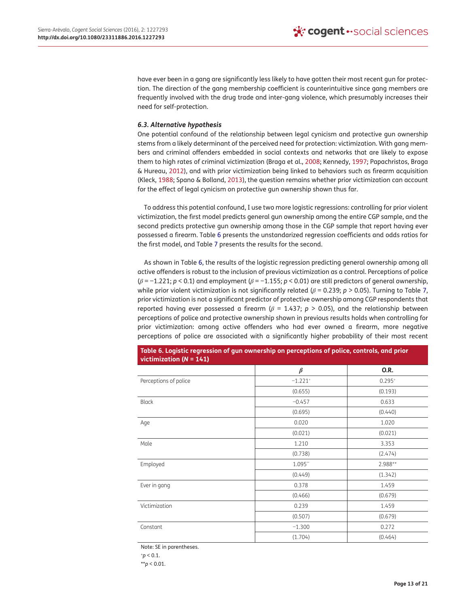have ever been in a gang are significantly less likely to have gotten their most recent gun for protection. The direction of the gang membership coefficient is counterintuitive since gang members are frequently involved with the drug trade and inter-gang violence, which presumably increases their need for self-protection.

## *6.3. Alternative hypothesis*

One potential confound of the relationship between legal cynicism and protective gun ownership stems from a likely determinant of the perceived need for protection: victimization. With gang members and criminal offenders embedded in social contexts and networks that are likely to expose them to high rates of criminal victimization (Braga et al., [2008](#page-17-5); Kennedy, [1997;](#page-18-11) Papachristos, Braga & Hureau, [2012](#page-19-19)), and with prior victimization being linked to behaviors such as firearm acquisition (Kleck, [1988](#page-18-21); Spano & Bolland, [2013](#page-19-29)), the question remains whether prior victimization can account for the effect of legal cynicism on protective gun ownership shown thus far.

<span id="page-12-2"></span><span id="page-12-1"></span>To address this potential confound, I use two more logistic regressions: controlling for prior violent victimization, the first model predicts general gun ownership among the entire CGP sample, and the second predicts protective gun ownership among those in the CGP sample that report having ever possessed a firearm. Table [6](#page-12-0) presents the unstandarized regression coefficients and odds ratios for the first model, and Table [7](#page-13-0) presents the results for the second.

As shown in Table [6](#page-12-0), the results of the logistic regression predicting general ownership among all active offenders is robust to the inclusion of previous victimization as a control. Perceptions of police (*β* = −1.221; *p* < 0.1) and employment (*β* = −1.155; *p* < 0.01) are still predictors of general ownership, while prior violent victimization is not significantly related (*β* = 0.239; *p* > 0.05). Turning to Table [7,](#page-13-0) prior victimization is not a significant predictor of protective ownership among CGP respondents that reported having ever possessed a firearm (*β* = 1.437; *p* > 0.05), and the relationship between perceptions of police and protective ownership shown in previous results holds when controlling for prior victimization: among active offenders who had ever owned a firearm, more negative perceptions of police are associated with a significantly higher probability of their most recent

<span id="page-12-0"></span>

|                       | $\beta$               | 0.R.     |
|-----------------------|-----------------------|----------|
| Perceptions of police | $-1.221$ <sup>+</sup> | $0.295+$ |
|                       | (0.655)               | (0.193)  |
| <b>Black</b>          | $-0.457$              | 0.633    |
|                       | (0.695)               | (0.440)  |
| Age                   | 0.020                 | 1.020    |
|                       | (0.021)               | (0.021)  |
| Male                  | 1.210                 | 3.353    |
|                       | (0.738)               | (2.474)  |
| Employed              | 1.095"                | 2.988**  |
|                       | (0.449)               | (1.342)  |
| Ever in gang          | 0.378                 | 1.459    |
|                       | (0.466)               | (0.679)  |
| Victimization         | 0.239                 | 1.459    |
|                       | (0.507)               | (0.679)  |
| Constant              | $-1.300$              | 0.272    |
|                       | (1.704)               | (0.464)  |

#### **Table 6. Logistic regression of gun ownership on perceptions of police, controls, and prior victimization (***N* **= 141)**

Note: SE in parentheses.

+ *p* < 0.1. \*\**p* < 0.01.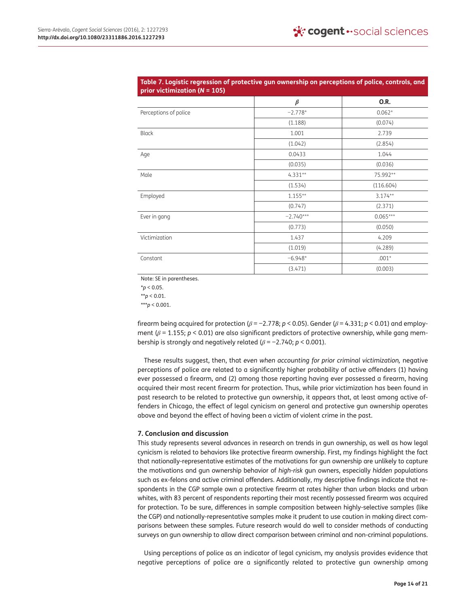<span id="page-13-0"></span>

|                       | $\beta$     | <b>O.R.</b> |
|-----------------------|-------------|-------------|
| Perceptions of police | $-2.778*$   | $0.062*$    |
|                       | (1.188)     | (0.074)     |
| <b>Black</b>          | 1.001       | 2.739       |
|                       | (1.042)     | (2.854)     |
| Age                   | 0.0433      | 1.044       |
|                       | (0.035)     | (0.036)     |
| Male                  | $4.331**$   | 75.992**    |
|                       | (1.534)     | (116.604)   |
| Employed              | $1.155**$   | $3.174***$  |
|                       | (0.747)     | (2.371)     |
| Ever in gang          | $-2.740***$ | $0.065***$  |
|                       | (0.773)     | (0.050)     |
| Victimization         | 1.437       | 4.209       |
|                       | (1.019)     | (4.289)     |
| Constant              | $-6.948*$   | $.001*$     |
|                       | (3.471)     | (0.003)     |

Note: SE in parentheses.

\**p* < 0.05.

\*\**p* < 0.01.

\*\*\**p* < 0.001.

firearm being acquired for protection (*β* = −2.778; *p* < 0.05). Gender (*β* = 4.331; *p* < 0.01) and employment (*β* = 1.155; *p* < 0.01) are also significant predictors of protective ownership, while gang membership is strongly and negatively related (*β* = −2.740; *p* < 0.001).

These results suggest, then, that *even when accounting for prior criminal victimization,* negative perceptions of police are related to a significantly higher probability of active offenders (1) having ever possessed a firearm, and (2) among those reporting having ever possessed a firearm, having acquired their most recent firearm for protection. Thus, while prior victimization has been found in past research to be related to protective gun ownership, it appears that, at least among active offenders in Chicago, the effect of legal cynicism on general and protective gun ownership operates above and beyond the effect of having been a victim of violent crime in the past.

## **7. Conclusion and discussion**

This study represents several advances in research on trends in gun ownership, as well as how legal cynicism is related to behaviors like protective firearm ownership. First, my findings highlight the fact that nationally-representative estimates of the motivations for gun ownership are unlikely to capture the motivations and gun ownership behavior of *high*-*risk* gun owners, especially *hidden* populations such as ex-felons and active criminal offenders. Additionally, my descriptive findings indicate that respondents in the CGP sample own a protective firearm at rates higher than urban blacks and urban whites, with 83 percent of respondents reporting their most recently possessed firearm was acquired for protection. To be sure, differences in sample composition between highly-selective samples (like the CGP) and nationally-representative samples make it prudent to use caution in making direct comparisons between these samples. Future research would do well to consider methods of conducting surveys on gun ownership to allow direct comparison between criminal and non-criminal populations.

Using perceptions of police as an indicator of legal cynicism, my analysis provides evidence that negative perceptions of police are a significantly related to protective gun ownership among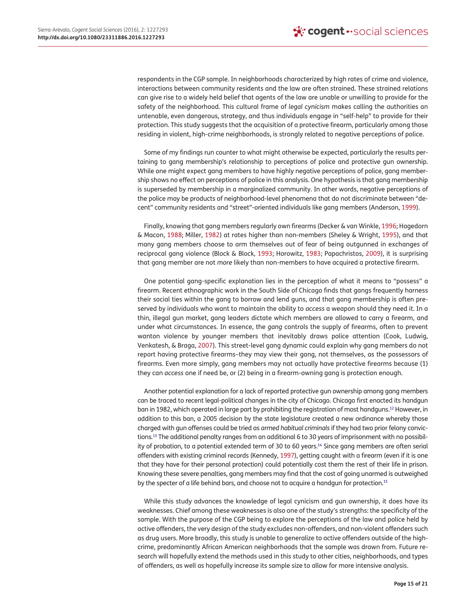respondents in the CGP sample. In neighborhoods characterized by high rates of crime and violence, interactions between community residents and the law are often strained. These strained relations can give rise to a widely held belief that agents of the law are unable or unwilling to provide for the safety of the neighborhood. This cultural frame of *legal cynicism* makes calling the authorities an untenable, even dangerous, strategy, and thus individuals engage in "self-help" to provide for their protection. This study suggests that the acquisition of a protective firearm, particularly among those residing in violent, high-crime neighborhoods, is strongly related to negative perceptions of police.

Some of my findings run counter to what might otherwise be expected, particularly the results pertaining to gang membership's relationship to perceptions of police and protective gun ownership. While one might expect gang members to have highly negative perceptions of police, gang membership shows no effect on perceptions of police in this analysis. One hypothesis is that gang membership is superseded by membership in a marginalized community. In other words, negative perceptions of the police may be products of neighborhood-level phenomena that do not discriminate between "decent" community residents and "street"-oriented individuals like gang members (Anderson, [1999](#page-17-9)).

<span id="page-14-6"></span><span id="page-14-5"></span><span id="page-14-4"></span><span id="page-14-3"></span><span id="page-14-2"></span><span id="page-14-0"></span>Finally, knowing that gang members regularly own firearms (Decker & van Winkle, [1996](#page-18-22); Hagedorn & Macon, [1988;](#page-18-23) Miller, [1982](#page-18-24)) at rates higher than non-members (Sheley & Wright, [1995](#page-19-5)), and that many gang members choose to arm themselves out of fear of being outgunned in exchanges of reciprocal gang violence (Block & Block, [1993](#page-17-21); Horowitz, [1983;](#page-18-25) Papachristos, [2009\)](#page-18-26), it is surprising that gang member are not *more* likely than non-members to have acquired a protective firearm.

One potential gang-specific explanation lies in the perception of what it means to "possess" a firearm. Recent ethnographic work in the South Side of Chicago finds that gangs frequently harness their social ties within the gang to borrow and lend guns, and that gang membership is often preserved by individuals who want to maintain the ability to *access* a weapon should they need it. In a thin, illegal gun market, gang leaders dictate which members are allowed to carry a firearm, and under what circumstances. In essence, the *gang* controls the supply of firearms, often to prevent wanton violence by younger members that inevitably draws police attention (Cook, Ludwig, Venkatesh, & Braga, [2007](#page-18-27)). This street-level gang dynamic could explain why gang members do not report having protective firearms–they may view their gang, not themselves, as the possessors of firearms. Even more simply, gang members may not actually have protective firearms because (1) they can *access* one if need be, or (2) being in a firearm-owning gang is protection enough.

<span id="page-14-1"></span>Another potential explanation for a lack of reported protective gun ownership among gang members can be traced to recent legal-political changes in the city of Chicago. Chicago first enacted its handgun ban in 1982, which operated in large part by prohibiting the registration of most handguns.<sup>[12](#page-17-22)</sup> However, in addition to this ban, a 2005 decision by the state legislature created a new ordinance whereby those charged with gun offenses could be tried as *armed habitual criminals* if they had two prior felony convictions*.* [13](#page-17-23) The additional penalty ranges from an additional 6 to 30 years of imprisonment with no possibility of probation, to a potential extended term of 30 to 60 years.[14](#page-17-24) Since gang members are often serial offenders with existing criminal records (Kennedy, [1997](#page-18-11)), getting caught with a firearm (even if it is one that they have for their personal protection) could potentially cost them the rest of their life in prison. Knowing these severe penalties, gang members may find that the cost of going unarmed is outweighed by the specter of a life behind bars, and choose not to acquire a handgun for protection[.15](#page-17-25)

While this study advances the knowledge of legal cynicism and gun ownership, it does have its weaknesses. Chief among these weaknesses is also one of the study's strengths: the specificity of the sample. With the purpose of the CGP being to explore the perceptions of the law and police held by active offenders, the very design of the study excludes non-offenders, and non-violent offenders such as drug users. More broadly, this study is unable to generalize to active offenders outside of the highcrime, predominantly African American neighborhoods that the sample was drawn from. Future research will hopefully extend the methods used in this study to other cities, neighborhoods, and types of offenders, as well as hopefully increase its sample size to allow for more intensive analysis.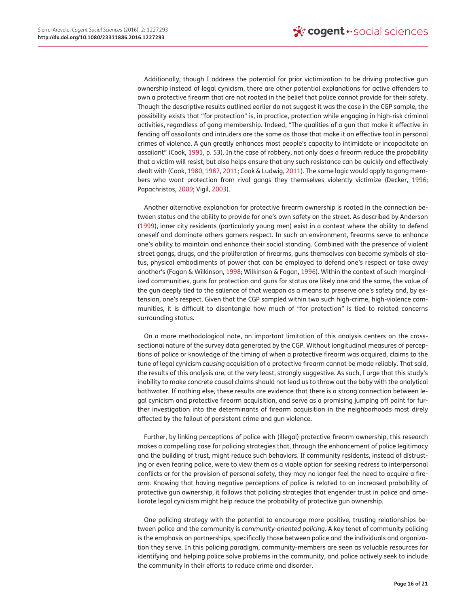Additionally, though I address the potential for prior victimization to be driving protective gun ownership instead of legal cynicism, there are other potential explanations for active offenders to own a protective firearm that are not rooted in the belief that police cannot provide for their safety. Though the descriptive results outlined earlier do not suggest it was the case in the CGP sample, the possibility exists that "for protection" is, in practice, protection while engaging in high-risk criminal activities, regardless of gang membership. Indeed, "The qualities of a gun that make it effective in fending off assailants and intruders are the same as those that make it an effective tool in personal crimes of violence. A gun greatly enhances most people's capacity to intimidate or incapacitate an assailant" (Cook, [1991,](#page-18-28) p. 53). In the case of robbery, not only does a firearm reduce the probability that a victim will resist, but also helps ensure that any such resistance can be quickly and effectively dealt with (Cook, [1980](#page-18-29), [1987,](#page-18-30) [2011;](#page-18-31) Cook & Ludwig, [2011](#page-18-32)). The same logic would apply to gang members who want protection from rival gangs they themselves violently victimize (Decker, [1996;](#page-18-33) Papachristos, [2009](#page-18-26); Vigil, [2003](#page-19-30)).

<span id="page-15-8"></span><span id="page-15-7"></span><span id="page-15-6"></span><span id="page-15-5"></span><span id="page-15-4"></span><span id="page-15-3"></span><span id="page-15-2"></span><span id="page-15-1"></span><span id="page-15-0"></span>Another alternative explanation for protective firearm ownership is rooted in the connection between status and the ability to provide for one's own safety on the street. As described by Anderson ([1999](#page-17-9)), inner city residents (particularly young men) exist in a context where the ability to defend oneself and dominate others garners respect. In such an environment, firearms serve to enhance one's ability to maintain and enhance their social standing. Combined with the presence of violent street gangs, drugs, and the proliferation of firearms, guns themselves can become symbols of status, physical embodiments of power that can be employed to defend one's respect or take away another's (Fagan & Wilkinson, [1998;](#page-18-34) Wilkinson & Fagan, [1996\)](#page-20-2). Within the context of such marginalized communities, guns for protection and guns for status are likely one and the same, the value of the gun deeply tied to the salience of that weapon as a means to preserve one's safety and, by extension, one's respect. Given that the CGP sampled within two such high-crime, high-violence communities, it is difficult to disentangle how much of "for protection" is tied to related concerns surrounding status.

On a more methodological note, an important limitation of this analysis centers on the crosssectional nature of the survey data generated by the CGP. Without longitudinal measures of perceptions of police or knowledge of the timing of when a protective firearm was acquired, claims to the tune of legal cynicism *causing* acquisition of a protective firearm cannot be made reliably. That said, the results of this analysis are, at the very least, strongly suggestive. As such, I urge that this study's inability to make concrete causal claims should not lead us to throw out the baby with the analytical bathwater. If nothing else, these results are evidence that there is a strong connection between legal cynicism and protective firearm acquisition, and serve as a promising jumping off point for further investigation into the determinants of firearm acquisition in the neighborhoods most direly affected by the fallout of persistent crime and gun violence.

Further, by linking perceptions of police with (illegal) protective firearm ownership, this research makes a compelling case for policing strategies that, through the enhancement of police legitimacy and the building of trust, might reduce such behaviors. If community residents, instead of distrusting or even fearing police, were to view them as a viable option for seeking redress to interpersonal conflicts or for the provision of personal safety, they may no longer feel the need to acquire a firearm. Knowing that having negative perceptions of police is related to an increased probability of protective gun ownership, it follows that policing strategies that engender trust in police and ameliorate legal cynicism might help reduce the probability of protective gun ownership.

One policing strategy with the potential to encourage more positive, trusting relationships between police and the community is *community*-*oriented policing*. A key tenet of community policing is the emphasis on partnerships, specifically those between police and the individuals and organization they serve. In this policing paradigm, community-members are seen as valuable resources for identifying and helping police solve problems in the community, and police actively seek to include the community in their efforts to reduce crime and disorder.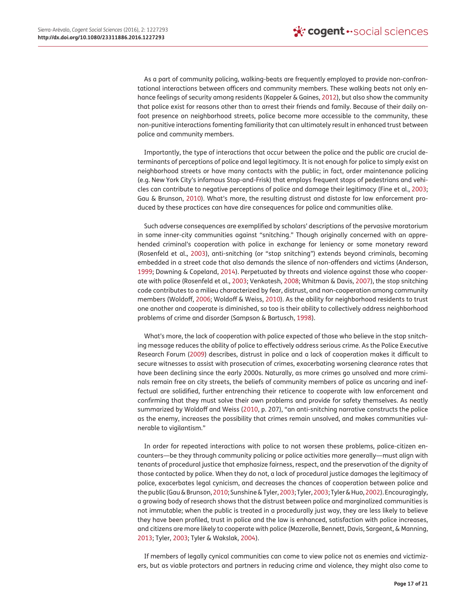<span id="page-16-3"></span>As a part of community policing, walking-beats are frequently employed to provide non-confrontational interactions between officers and community members. These walking beats not only enhance feelings of security among residents (Kappeler & Gaines, [2012](#page-18-35)), but also show the community that police exist for reasons other than to arrest their friends and family. Because of their daily onfoot presence on neighborhood streets, police become more accessible to the community, these non-punitive interactions fomenting familiarity that can ultimately result in enhanced trust between police and community members.

<span id="page-16-1"></span>Importantly, the type of interactions that occur between the police and the public are crucial determinants of perceptions of police and legal legitimacy. It is not enough for police to simply exist on neighborhood streets or have many contacts with the public; in fact, order maintenance policing (e.g. New York City's infamous Stop-and-Frisk) that employs frequent stops of pedestrians and vehicles can contribute to negative perceptions of police and damage their legitimacy (Fine et al., [2003;](#page-18-36) Gau & Brunson, [2010\)](#page-18-37). What's more, the resulting distrust and distaste for law enforcement produced by these practices can have dire consequences for police and communities alike.

<span id="page-16-8"></span><span id="page-16-7"></span><span id="page-16-2"></span><span id="page-16-0"></span>Such adverse consequences are exemplified by scholars' descriptions of the pervasive moratorium in some inner-city communities against "snitching." Though originally concerned with an apprehended criminal's cooperation with police in exchange for leniency or some monetary reward (Rosenfeld et al., [2003\)](#page-19-23), anti-snitching (or "stop snitching") extends beyond criminals, becoming embedded in a street code that also demands the silence of non-offenders and victims (Anderson, [1999](#page-17-9); Downing & Copeland, [2014\)](#page-18-38). Perpetuated by threats and violence against those who cooperate with police (Rosenfeld et al., [2003;](#page-19-23) Venkatesh, [2008;](#page-19-31) Whitman & Davis, [2007\)](#page-20-3), the stop snitching code contributes to a milieu characterized by fear, distrust, and non-cooperation among community members (Woldoff, [2006](#page-20-4); Woldoff & Weiss, [2010\)](#page-20-5). As the ability for neighborhood residents to trust one another and cooperate is diminished, so too is their ability to collectively address neighborhood problems of crime and disorder (Sampson & Bartusch, [1998\)](#page-19-9).

<span id="page-16-10"></span><span id="page-16-9"></span><span id="page-16-5"></span>What's more, the lack of cooperation with police expected of those who believe in the stop snitching message reduces the ability of police to effectively address serious crime. As the Police Executive Research Forum [\(2009\)](#page-19-32) describes, distrust in police and a lack of cooperation makes it difficult to secure witnesses to assist with prosecution of crimes, exacerbating worsening clearance rates that have been declining since the early 2000s. Naturally, as more crimes go unsolved and more criminals remain free on city streets, the beliefs of community members of police as uncaring and ineffectual are solidified, further entrenching their reticence to cooperate with law enforcement and confirming that they must solve their own problems and provide for safety themselves. As neatly summarized by Woldoff and Weiss [\(2010](#page-20-5), p. 207), "an anti-snitching narrative constructs the police as the enemy, increases the possibility that crimes remain unsolved, and makes communities vulnerable to vigilantism."

<span id="page-16-6"></span>In order for repeated interactions with police to not worsen these problems, police-citizen encounters—be they through community policing or police activities more generally—must align with tenants of procedural justice that emphasize fairness, respect, and the preservation of the dignity of those contacted by police. When they do not, a lack of procedural justice damages the legitimacy of police, exacerbates legal cynicism, and decreases the chances of cooperation between police and the public (Gau & Brunson, [2010](#page-18-37); Sunshine & Tyler, [2003](#page-19-20); Tyler, [2003;](#page-19-33) Tyler & Huo, [2002](#page-19-17)). Encouragingly, a growing body of research shows that the distrust between police and marginalized communities is not immutable; when the public is treated in a procedurally just way, they are less likely to believe they have been profiled, trust in police and the law is enhanced, satisfaction with police increases, and citizens are more likely to cooperate with police (Mazerolle, Bennett, Davis, Sargeant, & Manning, [2013](#page-18-39); Tyler, [2003;](#page-19-33) Tyler & Wakslak, [2004](#page-19-18)).

<span id="page-16-4"></span>If members of legally cynical communities can come to view police not as enemies and victimizers, but as viable protectors and partners in reducing crime and violence, they might also come to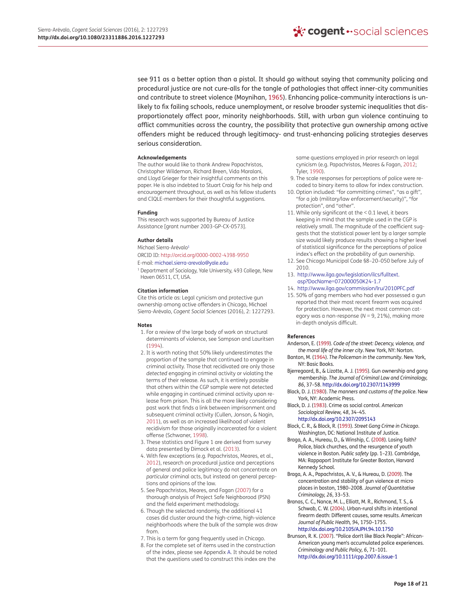<span id="page-17-27"></span>see 911 as a better option than a pistol. It should go without saying that community policing and procedural justice are not cure-alls for the tangle of pathologies that affect inner-city communities and contribute to street violence (Moynihan, [1965](#page-18-40)). Enhancing police-community interactions is unlikely to fix failing schools, reduce unemployment, or resolve broader systemic inequalities that disproportionately affect poor, minority neighborhoods. Still, with urban gun violence continuing to afflict communities across the country, the possibility that protective gun ownership among active offenders might be reduced through legitimacy- and trust-enhancing policing strategies deserves serious consideration.

#### **Acknowledgements**

The author would like to thank Andrew Papachristos, Christopher Wildeman, Richard Breen, Vida Maralani, and Lloyd Grieger for their insightful comments on this paper. He is also indebted to Stuart Craig for his help and encouragement throughout, as well as his fellow students and CIQLE-members for their thoughtful suggestions.

#### **Funding**

This research was supported by Bureau of Justice Assistance [grant number 2003-GP-CX-0573].

#### **Author details**

Michael Sierra-Arévalo[1](#page-0-1)

ORCID ID:<http://orcid.org/0000-0002-4398-9950>

E-mail: [michael.sierra-arevalo@yale.edu](mailto:michael.sierra-arevalo@yale.edu)

<span id="page-17-0"></span><sup>1</sup> Department of Sociology, Yale University, 493 College, New Haven 06511, CT, USA.

#### **Citation information**

Cite this article as: Legal cynicism and protective gun ownership among active offenders in Chicago, Michael Sierra-Arévalo, *Cogent Social Sciences* (2016), 2: 1227293.

#### **Notes**

- <span id="page-17-1"></span>1. For a review of the large body of work on structural determinants of violence, see Sampson and Lauritsen ([1994\)](#page-19-34).
- <span id="page-17-28"></span><span id="page-17-4"></span>2. It is worth noting that 50% likely underestimates the proportion of the sample that continued to engage in criminal activity. Those that recidivated are only those *detected* engaging in criminal activity or violating the terms of their release. As such, it is entirely possible that others within the CGP sample were not detected while engaging in continued criminal activity upon release from prison. This is all the more likely considering past work that finds a link between imprisonment and subsequent criminal activity (Cullen, Jonson, & Nagin, [2011\)](#page-18-41), as well as an increased likelihood of violent recidivism for those originally incarcerated for a violent offense (Schwaner, [1998](#page-19-35)).
- <span id="page-17-29"></span><span id="page-17-26"></span><span id="page-17-8"></span>3. These statistics and Figure 1 are derived from survey data presented by Dimock et al. [\(2013](#page-18-1)).
- <span id="page-17-12"></span>4. With few exceptions (e.g. Papachristos, Meares, et al., [2012\)](#page-19-19), research on procedural justice and perceptions of general and police legitimacy do not concentrate on *particular* criminal acts, but instead on general perceptions and opinions of the law.
- <span id="page-17-14"></span>5. See Papachristos, Meares, and Fagan ([2007\)](#page-19-36) for a thorough analysis of Project Safe Neighborood (PSN) and the field experiment methodology.
- <span id="page-17-15"></span>6. Though the selected randomly, the additional 41 cases did cluster around the high-crime, high-violence neighborhoods where the bulk of the sample was draw from.
- <span id="page-17-16"></span>7. This is a term for gang frequently used in Chicago.
- <span id="page-17-17"></span>8. For the complete set of items used in the construction of the index, please see Appendix [A.](#page-20-6) It should be noted that the questions used to construct this index are the

same questions employed in prior research on legal cynicism (e.g. Papachristos, Meares & Fagan, [2012;](#page-19-19) Tyler, [1990](#page-19-21)).

- <span id="page-17-18"></span>9. The scale responses for perceptions of police were recoded to binary items to allow for index construction.
- <span id="page-17-19"></span>10. Option included: "for committing crimes", "as a gift", "for a job (military/law enforcement/security)", "for protection", and "other".
- <span id="page-17-20"></span>11. While only significant at the < 0.1 level, it bears keeping in mind that the sample used in the CGP is relatively small. The magnitude of the coefficient suggests that the statistical power lent by a larger sample size would likely produce results showing a higher level of statistical significance for the perceptions of police index's effect on the probability of gun ownership.
- <span id="page-17-22"></span>12. See Chicago Municipal Code §8–20–050 before July of 2010.
- <span id="page-17-23"></span>13. [http://www.ilga.gov/legislation/ilcs/fulltext.](http://www.ilga.gov/legislation/ilcs/fulltext.asp?DocName=072000050K24-1.7) [asp?DocName=072000050K24-1.7](http://www.ilga.gov/legislation/ilcs/fulltext.asp?DocName=072000050K24-1.7)

in-depth analysis difficult.

<span id="page-17-25"></span><span id="page-17-24"></span>14.<http://www.ilga.gov/commission/lru/2010PFC.pdf> 15. 50% of gang members who had ever possessed a gun reported that their most recent firearm was acquired for protection. However, the next most common category was a non-response (*N* = 9, 21%), making more

#### **References**

<span id="page-17-9"></span>Anderson, E. [\(1999\)](#page-4-0). *Code of the street: Decency, violence, and the moral life of the inner city*. New York, NY: Norton.

- <span id="page-17-10"></span>Banton, M. ([1964](#page-4-1)). *The Policeman in the community*. New York, NY: Basic Books.
- <span id="page-17-3"></span>Bjerregaard, B., & Lizotte, A. J. [\(1995\)](#page-1-0). Gun ownership and gang membership. *The Journal of Criminal Law and Criminology, 86*, 37–58[. http://dx.doi.org/10.2307/1143999](http://dx.doi.org/10.2307/1143999)
- <span id="page-17-13"></span>Black, D. J. [\(1980\)](#page-5-0). *The manners and customs of the police*. New York, NY: Academic Press.

<span id="page-17-2"></span>Black, D. J. [\(1983\)](#page-1-1). Crime as social c[o](http://dx.doi.org/10.2307/2095143)ntrol. *American Sociological Review, 48*, 34–45.

#### <http://dx.doi.org/10.2307/2095143>

<span id="page-17-21"></span>Block, C. R., & Block, R. ([1993](#page-14-0)). *Street Gang Crime in Chicago*. Washington, DC: National Institute of Justice.

- <span id="page-17-5"></span>Braga, A. A., Hureau, D., & Winship, C. ([2008\)](#page-2-0). Losing faith? Police, black churches, and the resurgence of youth violence in Boston. *Public safety* (pp. 1–23). Cambridge, MA: Rappaport Institute for Greater Boston, Harvard Kennedy School.
- <span id="page-17-6"></span>Braga, A. A., Papachristos, A. V., & Hureau, D. [\(2009](#page-3-1)). The concentration and stability of gun violence at micro places in boston, 1980–2008. *Journal of Quantitative Criminology, 26*, 33–53.
- <span id="page-17-7"></span>Branas, C. C., Nance, M. L., Elliott, M. R., Richmond, T. S., & Schwab, C. W. ([2004\)](#page-3-2). Urban-rural shifts in intentional firearm death: Different causes, same r[es](http://dx.doi.org/10.2105/AJPH.94.10.1750)ults. *American Journal of Public Health, 94*, 1750–1755. <http://dx.doi.org/10.2105/AJPH.94.10.1750>
- <span id="page-17-11"></span>Brunson, R. K. [\(2007](#page-5-1)). "Police don't like Black People": African-American young men's accumulated police experiences. *Criminology and Public Policy, 6*, 71–101[.](http://dx.doi.org/10.1111/cpp.2007.6.issue-1) <http://dx.doi.org/10.1111/cpp.2007.6.issue-1>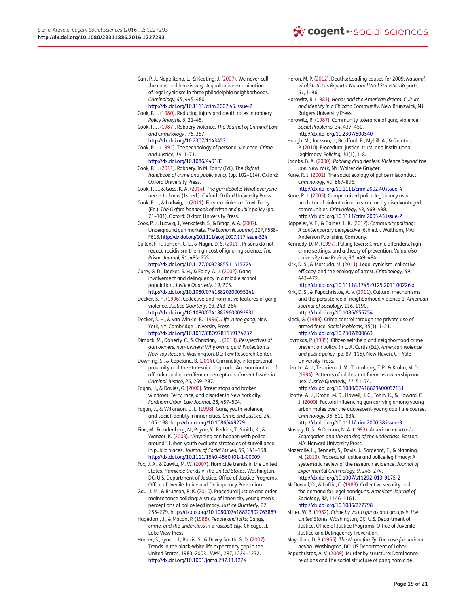<span id="page-18-5"></span>

<span id="page-18-41"></span><span id="page-18-32"></span><span id="page-18-31"></span><span id="page-18-30"></span><span id="page-18-29"></span><span id="page-18-28"></span><span id="page-18-27"></span><span id="page-18-17"></span><span id="page-18-0"></span>Carr, P. J., Napolitano, L., & Keating, J. ([2007\)](#page-5-2). We never call the cops and here is why: A qualitative examination of legal cynicism in three philadelphia neighborhoods. *Criminology, 45*, 445–480[.](http://dx.doi.org/10.1111/crim.2007.45.issue-2) <http://dx.doi.org/10.1111/crim.2007.45.issue-2> Cook, P. J. [\(1980](#page-15-0)). Reducing injury and death rates in robbery. *Policy Analysis, 6*, 21–45. Cook, P. J. [\(1987](#page-15-1)). Robbery viol[e](http://dx.doi.org/10.2307/1143453)nce. *The Journal of Criminal Law and Criminology , 78*, 357. <http://dx.doi.org/10.2307/1143453> Cook, P. J. [\(1991](#page-15-2)). The technology of personal violence. *Crime and Justice, 14*, 1–71[.](http://dx.doi.org/10.1086/449183) <http://dx.doi.org/10.1086/449183> Cook, P. J. [\(2011](#page-15-3)). Robbery. In M. Tonry (Ed.), *The Oxford handbook of crime and public policy* (pp. 102–114). Oxford: Oxford University Press. Cook, P. J., & Goss, K. A. [\(2014](#page-1-2)). *The gun debate: What everyone needs to know* (1st ed.). Oxford: Oxford University Press. Cook, P. J., & Ludwig, J. [\(2011](#page-15-4)). Firearm violence. In M. Tonry (Ed.), *The Oxford handbook of crime and public policy* (pp. 71–101). Oxford: Oxford University Press. Cook, P. J., Ludwig, J., Venkatesh, S., & Braga, A. A. [\(2007](#page-14-1)). Underground gun markets. *The Economic Journal, 117*, F588– F618[. http://dx.doi.org/10.1111/ecoj.2007.117.issue-524](http://dx.doi.org/10.1111/ecoj.2007.117.issue-524) Cullen, F. T., Jonson, C. L., & Nagin, D. S. [\(2011](#page-17-26)). Prisons do not reduce recidivism the high [co](http://dx.doi.org/10.1177/0032885511415224)st of ignoring science. *The Prison Journal, 91*, 48S–65S. <http://dx.doi.org/10.1177/0032885511415224> Curry, G. D., Decker, S. H., & Egley, A. J. ([2002\)](#page-1-3). Gang involvement and delinquency in a mi[d](http://dx.doi.org/10.1080/07418820200095241)dle school population. *Justice Quarterly, 19*, 275. <http://dx.doi.org/10.1080/07418820200095241> Decker, S. H. [\(1996](#page-15-5)). Collective and normativ[e](http://dx.doi.org/10.1080/07418829600092931) features of gang violence. *Justice Quarterly, 13*, 243–264. <http://dx.doi.org/10.1080/07418829600092931> Decker, S. H., & van Winkle, B. [\(1996](#page-14-2)). *Life in the gang*. New York, NY: Cambridge University Press[.](http://dx.doi.org/10.1017/CBO9781139174732) <http://dx.doi.org/10.1017/CBO9781139174732> Dimock, M., Doherty, C., & Christian, L. ([2013\)](#page-1-4). *Perspectives of gun owners, non-owners: Why own a gun? Protection is Now Top Reason*. Washington, DC: Pew Research Center. Downing, S., & Copeland, B. ([2014\)](#page-16-0). Criminality, interpersonal proximity and the stop-snitching code: An examination of offender and non-offender perceptions. *Current Issues in Criminal Justice, 26*, 269–287. Fagan, J., & Davies, G. [\(2000](#page-4-2)). Street stops and broken windows: Terry, race, and disorder in New York city. *Fordham Urban Law Journal, 28*, 457–504. Fagan, J., & Wilkinson, D. L. [\(1998](#page-15-6)). Guns, youth violence, and social identity in inner cities. *Crime and Justice, 24*, 105–188[. http://dx.doi.org/10.1086/449279](http://dx.doi.org/10.1086/449279) Fine, M., Freudenberg, N., Payne, Y., Perkins, T., Smith, K., & Wanzer, K. ([2003\)](#page-16-1). "Anything can happen with police around": Urban youth evaluate strategies of surveilla[n](http://dx.doi.org/10.1111/1540-4560.t01-1-00009)ce in public places. *Journal of Social Issues, 59*, 141–158. <http://dx.doi.org/10.1111/1540-4560.t01-1-00009> Fox, J. A., & Zawitz, M. W. ([2007](#page-1-5)). Homicide trends in the united states. *Homicide trends in the United States*. Washington, DC: U.S. Department of Justice, Office of Justice Programs, Office of Jvenile Jutice and Delinquency Prevention. Gau, J. M., & Brunson, R. K. [\(2010\)](#page-16-2). Procedural justice and order maintenance policing: A study of inner-city young men's perceptions of police legitimacy. *Justice Quarterly, 27*, 255–279[. http://dx.doi.org/10.1080/07418820902763889](http://dx.doi.org/10.1080/07418820902763889) Hagedorn, J., & Macon, P. ([1988](#page-14-3)). *People and folks: Gangs, crime, and the underclass in a rustbelt city*. Chicago, IL: Lake View Press. Heron, M. P. [\(2012\)](#page-1-7). Deaths: Leading causes for 2009. *National Vital Statistics Reports, National Vital Statistics Reports, 61*, 1–96. Horowitz, R. [\(1983\)](#page-14-4). *Honor and the American dream: Culture and identity in a Chicano Community*. New Brunswick, NJ: Rutgers University Press. Horowitz, R. [\(1987\)](#page-4-3). Community to[l](http://dx.doi.org/10.2307/800540)erance of gang violence. *Social Problems, 34*, 437–450. <http://dx.doi.org/10.2307/800540>

<span id="page-18-40"></span><span id="page-18-39"></span><span id="page-18-38"></span><span id="page-18-37"></span><span id="page-18-36"></span><span id="page-18-34"></span><span id="page-18-26"></span><span id="page-18-24"></span><span id="page-18-23"></span><span id="page-18-22"></span><span id="page-18-20"></span><span id="page-18-14"></span><span id="page-18-10"></span><span id="page-18-4"></span><span id="page-18-3"></span><span id="page-18-2"></span><span id="page-18-1"></span>Harper, S., Lynch, J., Burris, S., & Davey Smith, G. D. [\(2007](#page-1-6)). Trends in the black-white life expectancy gap in the United States, 1983–2003. *JAMA, 297*, 1224–1232[.](http://dx.doi.org/10.1001/jama.297.11.1224) <http://dx.doi.org/10.1001/jama.297.11.1224>

<span id="page-18-35"></span><span id="page-18-33"></span><span id="page-18-25"></span><span id="page-18-21"></span><span id="page-18-19"></span><span id="page-18-18"></span><span id="page-18-16"></span><span id="page-18-15"></span><span id="page-18-13"></span><span id="page-18-12"></span><span id="page-18-11"></span><span id="page-18-9"></span><span id="page-18-8"></span><span id="page-18-7"></span><span id="page-18-6"></span>Hough, M., Jackson, J., Bradford, B., Myhill, A., & Quinton, P. [\(2010](#page-4-4)). Procedural justice, trust, and institutional legitimacy. *Policing, 10*(1), 1–8. Jacobs, B. A. ([2000](#page-5-3)). *Robbing drug dealers: Violence beyond the law*. New York, NY: Walter de Gruyter. Kane, R. J. ([2002\)](#page-4-5). The social e[co](http://dx.doi.org/10.1111/crim.2002.40.issue-4)logy of police misconduct. *Criminology, 40*, 867–896. <http://dx.doi.org/10.1111/crim.2002.40.issue-4> Kane, R. J. ([2005\)](#page-4-6). Compromised police legitimacy as a predictor of violent crime in structurally [d](http://dx.doi.org/10.1111/crim.2005.43.issue-2)isadvantaged communities. *Criminology, 43*, 469–498. <http://dx.doi.org/10.1111/crim.2005.43.issue-2> Kappeler, V. E., & Gaines, L. K. [\(2012\)](#page-16-3). *Community policing: A contemporary perspective* (6th ed.). Waltham, MA: Anderson Publishing Company. Kennedy, D. M. ([1997\)](#page-2-1). Pulling levers: Chronic offenders, highcrime settings, and a theory of prevention. *Valparaiso University Law Review, 31*, 449–484. Kirk, D. S., & Matsuda, M. ([2011](#page-1-8)). Legal cynicism, collective efficacy, and the ecology of arrest. *Criminology, 49*, 443–472[.](http://dx.doi.org/10.1111/j.1745-9125.2011.00226.x) <http://dx.doi.org/10.1111/j.1745-9125.2011.00226.x> Kirk, D. S., & Papachristos, A. V. [\(2011\)](#page-1-9). Cultural mechanisms and the persistence of neighborhood violence 1. *American Journal of Sociology, 116*, 1190[.](http://dx.doi.org/10.1086/655754) <http://dx.doi.org/10.1086/655754> Kleck, G. ([1988\)](#page-12-1). Crime control through the private use of armed force. *Social Problems, 35*(1), 1–21[.](http://dx.doi.org/10.2307/800663) <http://dx.doi.org/10.2307/800663> Lavrakas, P. ([1985\)](#page-5-4). Citizen self-help and neighborhood crime prevention policy. In L. A. Curtis (Ed.), *American violence and public policy* (pp. 87–115). New Haven, CT: Yale University Press. Lizotte, A. J., Tesoriero, J. M., Thornberry, T. P., & Krohn, M. D. [\(1994](#page-1-10)). Patterns of adolescent firearms ownership and use. *Justice Quarterly, 11*, 51–74[.](http://dx.doi.org/10.1080/07418829400092131) <http://dx.doi.org/10.1080/07418829400092131> Lizotte, A. J., Krohn, M. D., Howell, J. C., Tobin, K., & Howard, G. J. [\(2000](#page-1-11)). Factors influencing gun carrying among young urban males over the ad[ole](http://dx.doi.org/10.1111/crim.2000.38.issue-3)scent-young adult life course. *Criminology, 38*, 811–834. <http://dx.doi.org/10.1111/crim.2000.38.issue-3> Massey, D. S., & Denton, N. A. [\(1993](#page-1-12)). *American apartheid: Segregation and the making of the underclass*. Boston, MA: Harvard University Press. Mazerolle, L., Bennett, S., Davis, J., Sargeant, E., & Manning, M. [\(2013](#page-16-4)). Procedural justice and police legitimacy: A systematic review of the research evi[de](http://dx.doi.org/10.1007/s11292-013-9175-2)nce. *Journal of Experimental Criminology, 9*, 245–274. <http://dx.doi.org/10.1007/s11292-013-9175-2> McDowall, D., & Loftin, C. [\(1983](#page-5-5)). Collective security and the demand for legal handguns. *American Journal of Sociology, 88*, 1146–1161[.](http://dx.doi.org/10.1086/227798) <http://dx.doi.org/10.1086/227798> Miller, W. B. ([1982\)](#page-14-5). *Crime by youth gangs and groups in the United States*. Washington, DC: U.S. Department of Justice, Office of Justice Programs, Office of Juvenile Justice and Delinquency Prevention. Moynihan, D. P. [\(1965](#page-17-27)). *The Negro family: The case for national action*. Washington, DC: US Department of Labor. Papachristos, A. V. [\(2009](#page-14-6)). Murder by structure: Dominance relations and the social structure of gang homicide.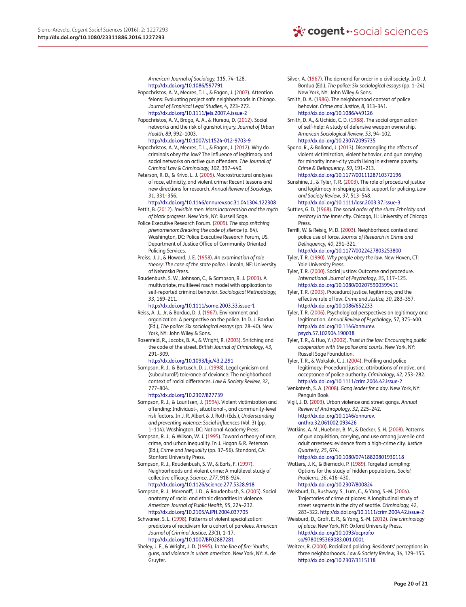*American Journal of Sociology, 115*, 74–128[.](http://dx.doi.org/10.1086/597791) <http://dx.doi.org/10.1086/597791>

- <span id="page-19-36"></span>Papachristos, A. V., Meares, T. L., & Fagan, J. [\(2007\)](#page-17-14). Attention felons: Evaluating project safe neighborhoods in Chicago. *Journal of Empirical Legal Studies, 4*, 223–272[.](http://dx.doi.org/10.1111/jels.2007.4.issue-2) <http://dx.doi.org/10.1111/jels.2007.4.issue-2>
- <span id="page-19-6"></span>Papachristos, A. V., Braga, A. A., & Hureau, D. [\(2012](#page-2-2)). Social networks and the risk [o](http://dx.doi.org/10.1007/s11524-012-9703-9)f gunshot injury. *Journal of Urban Health, 89*, 992–1003.

#### <http://dx.doi.org/10.1007/s11524-012-9703-9>

- <span id="page-19-19"></span>Papachristos, A. V., Meares, T. L., & Fagan, J. [\(2012\)](#page-5-6). Why do criminals obey the law? The influence of legitimacy and social networks on active gun offenders. *The Journal of Criminal Law & Criminology, 102*, 397–440.
- <span id="page-19-0"></span>Peterson, R. D., & Krivo, L. J. [\(2005\)](#page-1-13). Macrostructural analyses of race, ethnicity, and violent crime: Recent lessons and new directio[n](http://dx.doi.org/10.1146/annurev.soc.31.041304.122308)s for research. *Annual Review of Sociology, 31*, 331–356.

#### <http://dx.doi.org/10.1146/annurev.soc.31.041304.122308>

- <span id="page-19-3"></span>Pettit, B. ([2012\)](#page-1-14). *Invisible men: Mass incarceration and the myth of black progress*. New York, NY: Russell Sage.
- <span id="page-19-32"></span>Police Executive Research Forum. [\(2009](#page-16-5)). *The stop snitching phenomenon: Breaking the code of silence* (p. 64). Washington, DC: Police Executive Research Forum, US. Department of Justice Office of Community Oriented Policing Services.
- <span id="page-19-28"></span>Preiss, J. J., & Howard, J. E. [\(1958](#page-9-2)). *An examination of role theory: The case of the state police*. Lincoln, NE: University of Nebraska Press.
- <span id="page-19-27"></span>Raudenbush, S. W., Johnson, C., & Sampson, R. J. ([2003](#page-8-0)). A multivariate, multilevel rasch model with application to self-reporte[d](http://dx.doi.org/10.1111/some.2003.33.issue-1) criminal behavior. *Sociological Methodology, 33*, 169–211.

<http://dx.doi.org/10.1111/some.2003.33.issue-1>

- <span id="page-19-24"></span>Reiss, A. J., Jr, & Bordua, D. J. ([1967\)](#page-5-7). Environment and organization: A perspective on the police. In D. J. Bordua (Ed.), *The police: Six sociological essays* (pp. 28–40). New York, NY: John Wiley & Sons.
- <span id="page-19-23"></span>Rosenfeld, R., Jacobs, B. A., & Wright, R. ([2003\)](#page-5-8). Snitching and the code of the street. *British Journal of Criminology, 43*, 291–309[.](http://dx.doi.org/10.1093/bjc/43.2.291)

<http://dx.doi.org/10.1093/bjc/43.2.291>

<span id="page-19-9"></span>Sampson, R. J., & Bartusch, D. J. ([1998](#page-3-3)). Legal cynicism and (subcultural?) tolerance of deviance: The neighborhood context of racial differences. *Law & Society Review, 32*, 777–804[.](http://dx.doi.org/10.2307/827739)

<http://dx.doi.org/10.2307/827739>

- <span id="page-19-34"></span>Sampson, R. J., & Lauritsen, J. [\(1994](#page-17-28)). Violent victimization and offending: Individual–, situational–, and community-level risk factors. In J. R. Albert & J. Roth (Eds.), *Understanding and preventing violence: Social influences* (Vol. 3) (pp. 1–114). Washington, DC: National Academy Press.
- <span id="page-19-1"></span>Sampson, R. J., & Wilson, W. J. [\(1995\)](#page-1-15). Toward a theory of race, crime, and urban inequality. In J. Hagan & R. Peterson (Ed.), *Crime and Inequality* (pp. 37–56). Standord, CA: Stanford University Press.
- <span id="page-19-26"></span>Sampson, R. J., Raudenbush, S. W., & Earls, F. [\(1997](#page-6-0)). Neighborhoods and violent crime: A multilevel study of collective efficacy. *Science, 277*, 918–924[.](http://dx.doi.org/10.1126/science.277.5328.918) <http://dx.doi.org/10.1126/science.277.5328.918>
- <span id="page-19-10"></span>Sampson, R. J., Morenoff, J. D., & Raudenbush, S. ([2005\)](#page-3-4). Social anatomy of racial and ethnic disparities in viol[en](http://dx.doi.org/10.2105/AJPH.2004.037705)ce. *American Journal of Public Health, 95*, 224–232. <http://dx.doi.org/10.2105/AJPH.2004.037705>
- <span id="page-19-35"></span>Schwaner, S. L. ([1998\)](#page-17-29). Patterns of violent specialization: predictors of recidivism for a cohort of parolees. *American Journal of Criminal Justice, 23*(1), 1–17[.](http://dx.doi.org/10.1007/BF02887281) <http://dx.doi.org/10.1007/BF02887281>
- <span id="page-19-5"></span>Sheley, J. F., & Wright, J. D. [\(1995](#page-1-16)). *In the line of fire: Youths, guns, and violence in urban american*. New York, NY: A. de Gruyter.

<span id="page-19-14"></span>Silver, A. [\(1967\)](#page-4-7). The demand for order in a civil society. In D. J. Bordua (Ed.), *The police: Six sociological essays* (pp. 1–24). New York, NY: John Wiley & Sons.

<span id="page-19-12"></span>Smith, D. A. [\(1986\)](#page-4-8). The neighborhood conte[x](http://dx.doi.org/10.1086/449126)t of police behavior. *Crime and Justice, 8*, 313–341. <http://dx.doi.org/10.1086/449126>

<span id="page-19-25"></span>Smith, D. A., & Uchida, C. D. ([1988\)](#page-5-9). The social organization of self-help: A study of defensive weapon [o](http://dx.doi.org/10.2307/2095735)wnership. *American Sociological Review, 53*, 94–102. <http://dx.doi.org/10.2307/2095735>

<span id="page-19-29"></span>Spano, R., & Bolland, J. [\(2013](#page-12-2)). Disentangling the effects of violent victimization, violent behavior, and gun carrying for minority inner-city youth living [i](http://dx.doi.org/10.1177/0011128710372196)n extreme poverty. *Crime & Delinquency, 59*, 191–213.

<http://dx.doi.org/10.1177/0011128710372196>

<span id="page-19-20"></span>Sunshine, J., & Tyler, T. R. [\(2003](#page-5-10)). The role of procedural justice and legitimacy in shaping public [s](http://dx.doi.org/10.1111/lasr.2003.37.issue-3)upport for policing. *Law and Society Review, 37*, 513–548.

<http://dx.doi.org/10.1111/lasr.2003.37.issue-3>

- <span id="page-19-11"></span>Suttles, G. D. [\(1968\)](#page-4-9). *The social order of the slum: Ethnicity and territory in the inner city*. Chicago, IL: University of Chicago Press.
- <span id="page-19-15"></span>Terrill, W. & Reisig, M. D. ([2003\)](#page-4-10). Neighborhood context and police use of force. *Journal of Research in Crime and Delinquency, 40*, 291–321[.](http://dx.doi.org/10.1177/0022427803253800)

<span id="page-19-21"></span><http://dx.doi.org/10.1177/0022427803253800> Tyler, T. R. ([1990\)](#page-5-11). *Why people obey the law*. New Haven, CT: Yale University Press.

<span id="page-19-16"></span>Tyler, T. R. ([2000\)](#page-5-12). Social justice: Outcome and procedure. *International Journal of Psychology, 35*, 117–125[.](http://dx.doi.org/10.1080/002075900399411) <http://dx.doi.org/10.1080/002075900399411>

<span id="page-19-33"></span>Tyler, T. R. ([2003\)](#page-16-6). Procedural justice, legitimacy, and the effective rule of law. *Crime and Justice, 30*, 283–357. <http://dx.doi.org/10.1086/652233>

<span id="page-19-22"></span>Tyler, T. R. ([2006\)](#page-5-13). Psychological perspectives on legitimacy and legitimation. *Annual Review of Psychology, 57*, 375–400[.](http://dx.doi.org/10.1146/annurev.psych.57.102904.190038) [http://dx.doi.org/10.1146/annurev.](http://dx.doi.org/10.1146/annurev.psych.57.102904.190038) [psych.57.102904.190038](http://dx.doi.org/10.1146/annurev.psych.57.102904.190038)

<span id="page-19-17"></span>Tyler, T. R., & Huo, Y. ([2002](#page-5-14)). *Trust in the law: Encouraging public cooperation with the police and courts*. New York, NY: Russell Sage Foundation.

- <span id="page-19-18"></span>Tyler, T. R., & Wakslak, C. J. ([2004\)](#page-5-15). Profiling and police legitimacy: Procedural justice, attributions of motive, and acceptance of police authority. *Criminology, 42*, 253–282[.](http://dx.doi.org/10.1111/crim.2004.42.issue-2) <http://dx.doi.org/10.1111/crim.2004.42.issue-2>
- <span id="page-19-31"></span>Venkatesh, S. A. ([2008](#page-16-7)). *Gang leader for a day*. New York, NY: Penguin Book.

<span id="page-19-30"></span>Vigil, J. D. ([2003\)](#page-15-7). Urban violence and stre[et](http://dx.doi.org/10.1146/annurev.anthro.32.061002.093426) gangs. *Annual Review of Anthropology, 32*, 225–242. [http://dx.doi.org/10.1146/annurev.](http://dx.doi.org/10.1146/annurev.anthro.32.061002.093426) [anthro.32.061002.093426](http://dx.doi.org/10.1146/annurev.anthro.32.061002.093426)

<span id="page-19-2"></span>Watkins, A. M., Huebner, B. M., & Decker, S. H. [\(2008\)](#page-1-17). Patterns of gun acquisition, carrying, and use among juvenile and adult arrestees: evidence from a high-crime city. *Justice Quarterly, 25*, 674[.](http://dx.doi.org/10.1080/07418820801930118)

<http://dx.doi.org/10.1080/07418820801930118>

<span id="page-19-4"></span>Watters, J. K., & Biernacki, P. ([1989\)](#page-1-18). Targeted sampling: Options for the study o[f](http://dx.doi.org/10.2307/800824) hidden populations. *Social Problems, 36*, 416–430.

<http://dx.doi.org/10.2307/800824>

<span id="page-19-7"></span>Weisburd, D., Bushway, S., Lum, C., & Yang, S.-M. [\(2004\)](#page-3-5). Trajectories of crime at places: A longitudinal study of street segments in the city of seattle. *Criminology, 42*, 283–322[. http://dx.doi.org/10.1111/crim.2004.42.issue-2](http://dx.doi.org/10.1111/crim.2004.42.issue-2)

<span id="page-19-8"></span>Weisburd, D., Groff, E. R., & Yang, S.-M. [\(2012](#page-3-6)). *The c[r](http://dx.doi.org/10.1093/acprof:oso/9780195369083.001.0001)iminology of place*. New York, NY: Oxford University Press. [http://dx.doi.org/10.1093/acprof:o](http://dx.doi.org/10.1093/acprof:oso/9780195369083.001.0001) [so/9780195369083.001.0001](http://dx.doi.org/10.1093/acprof:oso/9780195369083.001.0001)

<span id="page-19-13"></span>Weitzer, R. [\(2000](#page-4-11)). Racialized policing: Residents' perceptions in three neighborhoods. *Law & Society Review, 34*, 129–155[.](http://dx.doi.org/10.2307/3115118) <http://dx.doi.org/10.2307/3115118>